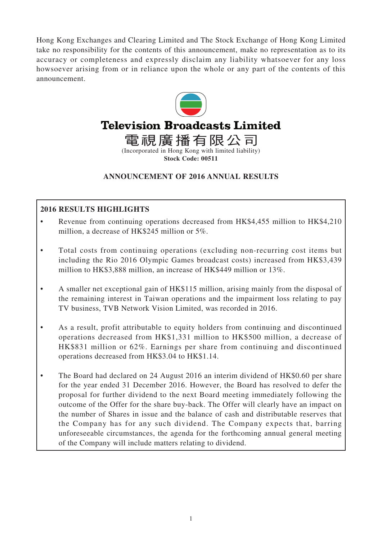Hong Kong Exchanges and Clearing Limited and The Stock Exchange of Hong Kong Limited take no responsibility for the contents of this announcement, make no representation as to its accuracy or completeness and expressly disclaim any liability whatsoever for any loss howsoever arising from or in reliance upon the whole or any part of the contents of this announcement.



### **ANNOUNCEMENT OF 2016 ANNUAL RESULTS**

### **2016 RESULTS HIGHLIGHTS**

- Revenue from continuing operations decreased from HK\$4,455 million to HK\$4,210 million, a decrease of HK\$245 million or 5%.
- Total costs from continuing operations (excluding non-recurring cost items but including the Rio 2016 Olympic Games broadcast costs) increased from HK\$3,439 million to HK\$3,888 million, an increase of HK\$449 million or 13%.
- A smaller net exceptional gain of HK\$115 million, arising mainly from the disposal of the remaining interest in Taiwan operations and the impairment loss relating to pay TV business, TVB Network Vision Limited, was recorded in 2016.
- As a result, profit attributable to equity holders from continuing and discontinued operations decreased from HK\$1,331 million to HK\$500 million, a decrease of HK\$831 million or 62%. Earnings per share from continuing and discontinued operations decreased from HK\$3.04 to HK\$1.14.
- The Board had declared on 24 August 2016 an interim dividend of HK\$0.60 per share for the year ended 31 December 2016. However, the Board has resolved to defer the proposal for further dividend to the next Board meeting immediately following the outcome of the Offer for the share buy-back. The Offer will clearly have an impact on the number of Shares in issue and the balance of cash and distributable reserves that the Company has for any such dividend. The Company expects that, barring unforeseeable circumstances, the agenda for the forthcoming annual general meeting of the Company will include matters relating to dividend.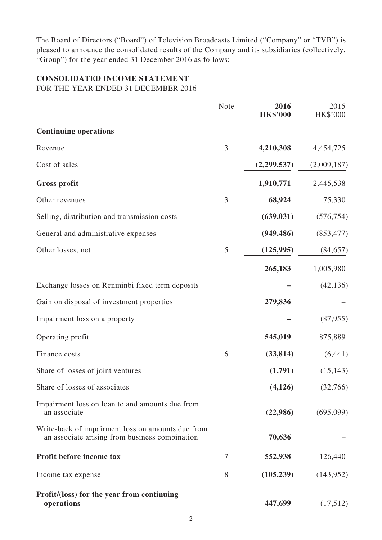The Board of Directors ("Board") of Television Broadcasts Limited ("Company" or "TVB") is pleased to announce the consolidated results of the Company and its subsidiaries (collectively, "Group") for the year ended 31 December 2016 as follows:

# **CONSOLIDATED INCOME STATEMENT**

FOR THE YEAR ENDED 31 DECEMBER 2016

| Note | 2016<br><b>HK\$'000</b> | 2015<br>HK\$'000 |
|------|-------------------------|------------------|
|      |                         |                  |
| 3    | 4,210,308               | 4,454,725        |
|      | (2,299,537)             | (2,009,187)      |
|      | 1,910,771               | 2,445,538        |
| 3    | 68,924                  | 75,330           |
|      | (639, 031)              | (576, 754)       |
|      | (949, 486)              | (853, 477)       |
| 5    | (125, 995)              | (84, 657)        |
|      | 265,183                 | 1,005,980        |
|      |                         | (42, 136)        |
|      | 279,836                 |                  |
|      |                         | (87, 955)        |
|      | 545,019                 | 875,889          |
| 6    | (33, 814)               | (6,441)          |
|      | (1,791)                 | (15, 143)        |
|      | (4,126)                 | (32,766)         |
|      | (22,986)                | (695,099)        |
|      | 70,636                  |                  |
| 7    | 552,938                 | 126,440          |
| 8    | (105, 239)              | (143, 952)       |
|      | 447,699                 | (17,512)         |
|      |                         |                  |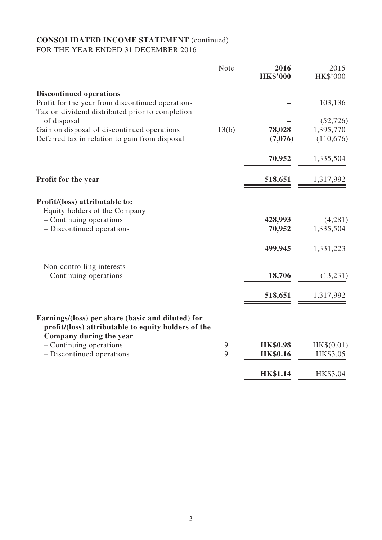### **CONSOLIDATED INCOME STATEMENT** (continued) FOR THE YEAR ENDED 31 DECEMBER 2016

|                                                                                                          | Note  | 2016<br><b>HK\$'000</b> | 2015<br>HK\$'000 |
|----------------------------------------------------------------------------------------------------------|-------|-------------------------|------------------|
| <b>Discontinued operations</b>                                                                           |       |                         |                  |
| Profit for the year from discontinued operations<br>Tax on dividend distributed prior to completion      |       |                         | 103,136          |
| of disposal                                                                                              |       |                         | (52, 726)        |
| Gain on disposal of discontinued operations                                                              | 13(b) | 78,028                  | 1,395,770        |
| Deferred tax in relation to gain from disposal                                                           |       | (7,076)                 | (110,676)        |
|                                                                                                          |       | 70,952                  | 1,335,504        |
| Profit for the year                                                                                      |       | 518,651                 | 1,317,992        |
| Profit/(loss) attributable to:<br>Equity holders of the Company                                          |       |                         |                  |
| - Continuing operations                                                                                  |       | 428,993                 | (4,281)          |
| - Discontinued operations                                                                                |       | 70,952                  | 1,335,504        |
|                                                                                                          |       | 499,945                 | 1,331,223        |
| Non-controlling interests                                                                                |       |                         |                  |
| - Continuing operations                                                                                  |       | 18,706                  | (13,231)         |
|                                                                                                          |       | 518,651                 | 1,317,992        |
| Earnings/(loss) per share (basic and diluted) for<br>profit/(loss) attributable to equity holders of the |       |                         |                  |
| Company during the year<br>- Continuing operations                                                       | 9     | <b>HK\$0.98</b>         | HK\$(0.01)       |
| - Discontinued operations                                                                                | 9     | <b>HK\$0.16</b>         | HK\$3.05         |
|                                                                                                          |       |                         |                  |
|                                                                                                          |       | <b>HK\$1.14</b>         | HK\$3.04         |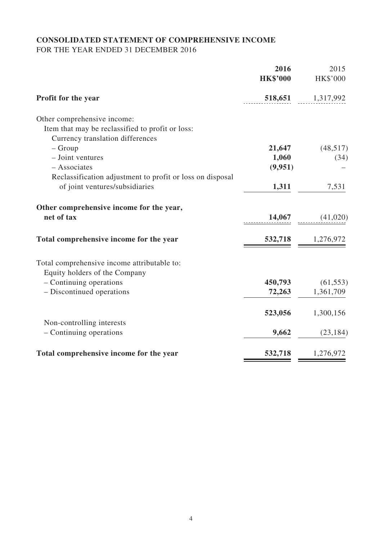# **CONSOLIDATED STATEMENT OF COMPREHENSIVE INCOME**

FOR THE YEAR ENDED 31 DECEMBER 2016

|                                                           | 2016<br><b>HK\$'000</b> | 2015<br><b>HK\$'000</b> |
|-----------------------------------------------------------|-------------------------|-------------------------|
| <b>Profit for the year</b>                                | 518,651                 | 1,317,992               |
| Other comprehensive income:                               |                         |                         |
| Item that may be reclassified to profit or loss:          |                         |                         |
| Currency translation differences                          |                         |                         |
| $-$ Group                                                 | 21,647                  | (48,517)                |
| - Joint ventures                                          | 1,060                   | (34)                    |
| - Associates                                              | (9,951)                 |                         |
| Reclassification adjustment to profit or loss on disposal |                         |                         |
| of joint ventures/subsidiaries                            | 1,311                   | 7,531                   |
| Other comprehensive income for the year,                  |                         |                         |
| net of tax                                                | 14,067                  | (41,020)                |
| Total comprehensive income for the year                   | 532,718                 | 1,276,972               |
| Total comprehensive income attributable to:               |                         |                         |
| Equity holders of the Company                             |                         |                         |
| $-$ Continuing operations                                 | 450,793                 | (61, 553)               |
| - Discontinued operations                                 | 72,263                  | 1,361,709               |
|                                                           | 523,056                 | 1,300,156               |
| Non-controlling interests                                 |                         |                         |
| - Continuing operations                                   | 9,662                   | (23, 184)               |
| Total comprehensive income for the year                   | 532,718                 | 1,276,972               |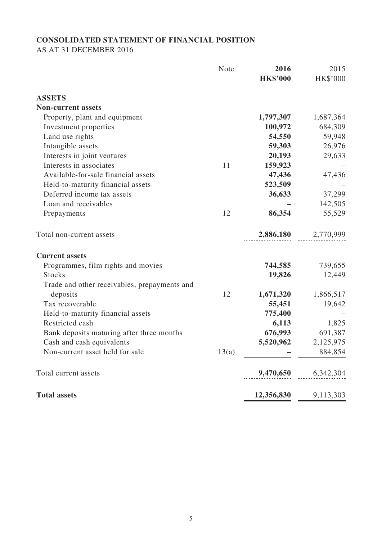## **CONSOLIDATED STATEMENT OF FINANCIAL POSITION**

AS AT 31 DECEMBER 2016

|                                              | <b>Note</b> | 2016<br><b>HK\$'000</b> | 2015<br>HK\$'000 |
|----------------------------------------------|-------------|-------------------------|------------------|
| <b>ASSETS</b>                                |             |                         |                  |
| <b>Non-current assets</b>                    |             |                         |                  |
| Property, plant and equipment                |             | 1,797,307               | 1,687,364        |
| Investment properties                        |             | 100,972                 | 684,309          |
| Land use rights                              |             | 54,550                  | 59,948           |
| Intangible assets                            |             | 59,303                  | 26,976           |
| Interests in joint ventures                  |             | 20,193                  | 29,633           |
| Interests in associates                      | 11          | 159,923                 |                  |
| Available-for-sale financial assets          |             | 47,436                  | 47,436           |
| Held-to-maturity financial assets            |             | 523,509                 |                  |
| Deferred income tax assets                   |             | 36,633                  | 37,299           |
| Loan and receivables                         |             |                         | 142,505          |
| Prepayments                                  | 12          | 86,354                  | 55,529           |
| Total non-current assets                     |             | 2,886,180               | 2,770,999        |
| <b>Current assets</b>                        |             |                         |                  |
| Programmes, film rights and movies           |             | 744,585                 | 739,655          |
| <b>Stocks</b>                                |             | 19,826                  | 12,449           |
| Trade and other receivables, prepayments and |             |                         |                  |
| deposits                                     | 12          | 1,671,320               | 1,866,517        |
| Tax recoverable                              |             | 55,451                  | 19,642           |
| Held-to-maturity financial assets            |             | 775,400                 |                  |
| Restricted cash                              |             | 6,113                   | 1,825            |
| Bank deposits maturing after three months    |             | 676,993                 | 691,387          |
| Cash and cash equivalents                    |             | 5,520,962               | 2,125,975        |
| Non-current asset held for sale              | 13(a)       |                         | 884,854          |
| Total current assets                         |             | 9,470,650               | 6,342,304        |
| <b>Total assets</b>                          |             | 12,356,830              | 9,113,303        |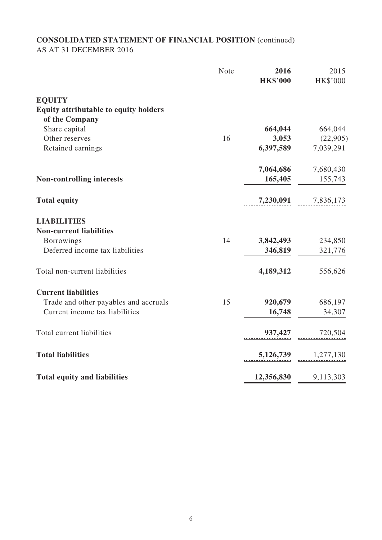### **CONSOLIDATED STATEMENT OF FINANCIAL POSITION** (continued) AS AT 31 DECEMBER 2016

|                                              | <b>Note</b> | 2016<br><b>HK\$'000</b> | 2015<br>HK\$'000 |
|----------------------------------------------|-------------|-------------------------|------------------|
| <b>EQUITY</b>                                |             |                         |                  |
| <b>Equity attributable to equity holders</b> |             |                         |                  |
| of the Company                               |             |                         |                  |
| Share capital                                |             | 664,044                 | 664,044          |
| Other reserves                               | 16          | 3,053                   | (22,905)         |
| Retained earnings                            |             | 6,397,589               | 7,039,291        |
|                                              |             | 7,064,686               | 7,680,430        |
| <b>Non-controlling interests</b>             |             | 165,405                 | 155,743          |
| <b>Total equity</b>                          |             | 7,230,091               | 7,836,173        |
| <b>LIABILITIES</b>                           |             |                         |                  |
| <b>Non-current liabilities</b>               |             |                         |                  |
| <b>Borrowings</b>                            | 14          | 3,842,493               | 234,850          |
| Deferred income tax liabilities              |             | 346,819                 | 321,776          |
| Total non-current liabilities                |             | 4,189,312               | 556,626          |
| <b>Current liabilities</b>                   |             |                         |                  |
| Trade and other payables and accruals        | 15          | 920,679                 | 686,197          |
| Current income tax liabilities               |             | 16,748                  | 34,307           |
| Total current liabilities                    |             | 937,427                 | 720,504          |
| <b>Total liabilities</b>                     |             | 5,126,739               | 1,277,130        |
| <b>Total equity and liabilities</b>          |             | 12,356,830              | 9,113,303        |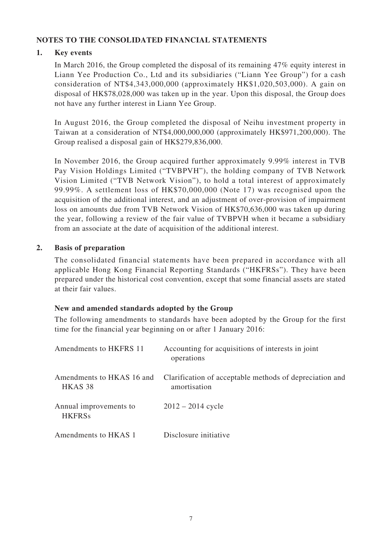### **Notes to the consolidated financial statements**

#### **1. Key events**

In March 2016, the Group completed the disposal of its remaining 47% equity interest in Liann Yee Production Co., Ltd and its subsidiaries ("Liann Yee Group") for a cash consideration of NT\$4,343,000,000 (approximately HK\$1,020,503,000). A gain on disposal of HK\$78,028,000 was taken up in the year. Upon this disposal, the Group does not have any further interest in Liann Yee Group.

In August 2016, the Group completed the disposal of Neihu investment property in Taiwan at a consideration of NT\$4,000,000,000 (approximately HK\$971,200,000). The Group realised a disposal gain of HK\$279,836,000.

In November 2016, the Group acquired further approximately 9.99% interest in TVB Pay Vision Holdings Limited ("TVBPVH"), the holding company of TVB Network Vision Limited ("TVB Network Vision"), to hold a total interest of approximately 99.99%. A settlement loss of HK\$70,000,000 (Note 17) was recognised upon the acquisition of the additional interest, and an adjustment of over-provision of impairment loss on amounts due from TVB Network Vision of HK\$70,636,000 was taken up during the year, following a review of the fair value of TVBPVH when it became a subsidiary from an associate at the date of acquisition of the additional interest.

#### **2. Basis of preparation**

The consolidated financial statements have been prepared in accordance with all applicable Hong Kong Financial Reporting Standards ("HKFRSs"). They have been prepared under the historical cost convention, except that some financial assets are stated at their fair values.

#### **New and amended standards adopted by the Group**

The following amendments to standards have been adopted by the Group for the first time for the financial year beginning on or after 1 January 2016:

| Amendments to HKFRS 11                          | Accounting for acquisitions of interests in joint<br>operations         |
|-------------------------------------------------|-------------------------------------------------------------------------|
| Amendments to HKAS 16 and<br>HKAS <sub>38</sub> | Clarification of acceptable methods of depreciation and<br>amortisation |
| Annual improvements to<br><b>HKFRSs</b>         | $2012 - 2014$ cycle                                                     |
| Amendments to HKAS 1                            | Disclosure initiative                                                   |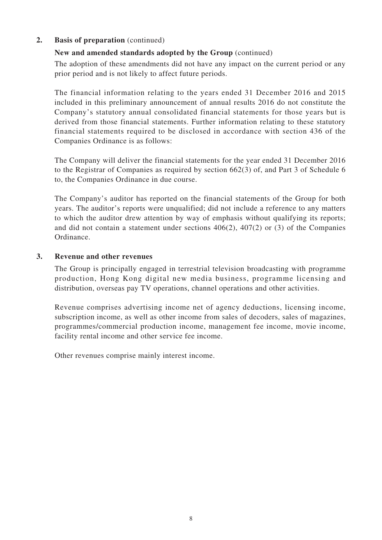### **2. Basis of preparation** (continued)

### **New and amended standards adopted by the Group** (continued)

The adoption of these amendments did not have any impact on the current period or any prior period and is not likely to affect future periods.

The financial information relating to the years ended 31 December 2016 and 2015 included in this preliminary announcement of annual results 2016 do not constitute the Company's statutory annual consolidated financial statements for those years but is derived from those financial statements. Further information relating to these statutory financial statements required to be disclosed in accordance with section 436 of the Companies Ordinance is as follows:

The Company will deliver the financial statements for the year ended 31 December 2016 to the Registrar of Companies as required by section 662(3) of, and Part 3 of Schedule 6 to, the Companies Ordinance in due course.

The Company's auditor has reported on the financial statements of the Group for both years. The auditor's reports were unqualified; did not include a reference to any matters to which the auditor drew attention by way of emphasis without qualifying its reports; and did not contain a statement under sections 406(2), 407(2) or (3) of the Companies Ordinance.

#### **3. Revenue and other revenues**

The Group is principally engaged in terrestrial television broadcasting with programme production, Hong Kong digital new media business, programme licensing and distribution, overseas pay TV operations, channel operations and other activities.

Revenue comprises advertising income net of agency deductions, licensing income, subscription income, as well as other income from sales of decoders, sales of magazines, programmes/commercial production income, management fee income, movie income, facility rental income and other service fee income.

Other revenues comprise mainly interest income.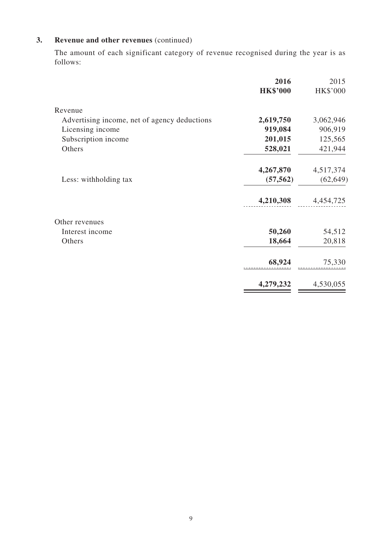## **3. Revenue and other revenues** (continued)

The amount of each significant category of revenue recognised during the year is as follows:

|                                              | 2016            | 2015      |
|----------------------------------------------|-----------------|-----------|
|                                              | <b>HK\$'000</b> | HK\$'000  |
| Revenue                                      |                 |           |
| Advertising income, net of agency deductions | 2,619,750       | 3,062,946 |
| Licensing income                             | 919,084         | 906,919   |
| Subscription income                          | 201,015         | 125,565   |
| Others                                       | 528,021         | 421,944   |
|                                              | 4,267,870       | 4,517,374 |
| Less: withholding tax                        | (57, 562)       | (62, 649) |
|                                              | 4,210,308       | 4,454,725 |
| Other revenues                               |                 |           |
| Interest income                              | 50,260          | 54,512    |
| Others                                       | 18,664          | 20,818    |
|                                              | 68,924          | 75,330    |
|                                              | 4,279,232       | 4,530,055 |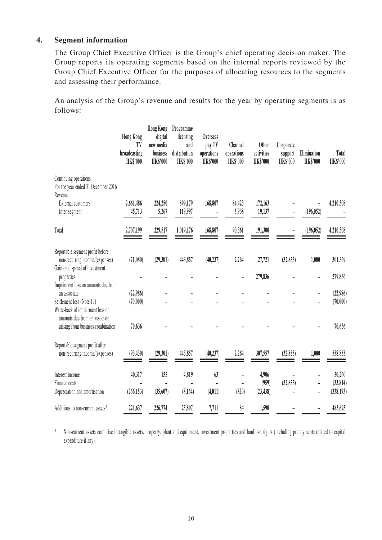#### **4. Segment information**

The Group Chief Executive Officer is the Group's chief operating decision maker. The Group reports its operating segments based on the internal reports reviewed by the Group Chief Executive Officer for the purposes of allocating resources to the segments and assessing their performance.

An analysis of the Group's revenue and results for the year by operating segments is as follows:

|                                                                                                       | <b>Hong Kong</b><br>TV<br>broadcasting<br><b>HK\$'000</b> | <b>Hong Kong</b><br>digital<br>new media<br>business<br><b>HK\$'000</b> | Programme<br>licensing<br>and<br>distribution<br><b>HK\$'000</b> | <b>Overseas</b><br>pay TV<br>operations<br><b>HK\$'000</b> | Channel<br>operations<br><b>HK\$'000</b> | <b>Other</b><br>activities<br><b>HK\$'000</b> | Corporate<br>support<br><b>HK\$'000</b> | Elimination<br><b>HK\$'000</b> | <b>Total</b><br><b>HK\$'000</b>   |
|-------------------------------------------------------------------------------------------------------|-----------------------------------------------------------|-------------------------------------------------------------------------|------------------------------------------------------------------|------------------------------------------------------------|------------------------------------------|-----------------------------------------------|-----------------------------------------|--------------------------------|-----------------------------------|
| Continuing operations<br>For the year ended 31 December 2016<br>Revenue                               |                                                           |                                                                         |                                                                  |                                                            |                                          |                                               |                                         |                                |                                   |
| <b>External customers</b><br>Inter-segment                                                            | 2,661,486<br>45,713                                       | 224,250<br>5,267                                                        | 899,179<br>119,997                                               | 168,807                                                    | 84,423<br>5,938                          | 172,163<br>19,137                             |                                         | (196, 052)                     | 4,210,308                         |
| Total                                                                                                 | 2,707,199                                                 | 229,517                                                                 | 1,019,176                                                        | 168,807                                                    | 90,361                                   | 191,300                                       |                                         | (196, 052)                     | 4,210,308                         |
| Reportable segment profit before<br>non-recurring income/(expenses)<br>Gain on disposal of investment | (71,080)                                                  | (29,301)                                                                | 443,857                                                          | (40, 237)                                                  | 2,264                                    | 27,721                                        | (32, 855)                               | 1,000                          | 301,369                           |
| properties<br>Impairment loss on amounts due from                                                     |                                                           |                                                                         |                                                                  |                                                            |                                          | 279,836                                       |                                         |                                | 279,836                           |
| an associate<br>Settlement loss (Note 17)<br>Write-back of impairment loss on                         | (22,986)<br>(70,000)                                      |                                                                         |                                                                  |                                                            |                                          |                                               |                                         |                                | (22,986)<br>(70,000)              |
| amounts due from an associate<br>arising from business combination                                    | 70,636                                                    |                                                                         |                                                                  |                                                            |                                          |                                               |                                         |                                | 70,636                            |
| Reportable segment profit after<br>non-recurring income/(expenses)                                    | (93, 430)                                                 | (29, 301)                                                               | 443,857                                                          | (40, 237)                                                  | 2,264                                    | 307,557                                       | (32, 855)                               | 1,000                          | 558,855                           |
| Interest income<br>Finance costs<br>Depreciation and amortisation                                     | 40,317<br>(266, 153)                                      | 155<br>(35,607)                                                         | 4,819<br>(8,164)                                                 | 63<br>(4, 011)                                             | (820)                                    | 4,906<br>(959)<br>(23, 438)                   | (32, 855)                               |                                | 50,260<br>(33, 814)<br>(338, 193) |
| Additions to non-current assets*                                                                      | 221,637                                                   | 226,774                                                                 | 25,897                                                           | 7,711                                                      | 84                                       | 1,590                                         |                                         |                                | 483,693                           |

\* Non-current assets comprise intangible assets, property, plant and equipment, investment properties and land use rights (including prepayments related to capital expenditure if any).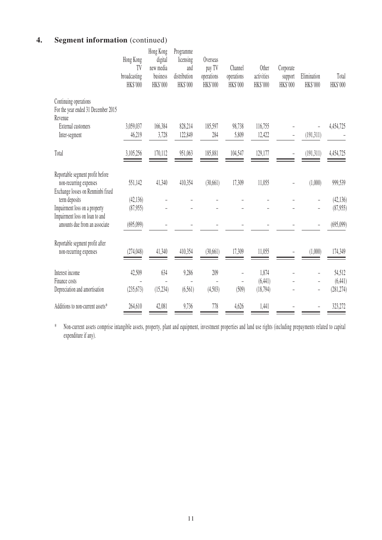## **4. Segment information** (continued)

|                                                                                                 | Hong Kong<br>TV<br>broadcasting<br>HK\$'000 | Hong Kong<br>digital<br>new media<br>business<br>HK\$'000 | Programme<br>licensing<br>and<br>distribution<br>HK\$'000 | Overseas<br>pay TV<br>operations<br>HK\$'000 | Channel<br>operations<br>HK\$'000                   | Other<br>activities<br>HK\$'000 | Corporate<br>support<br>HK\$'000 | Elimination<br>HK\$'000                                               | Total<br>HK\$'000                |
|-------------------------------------------------------------------------------------------------|---------------------------------------------|-----------------------------------------------------------|-----------------------------------------------------------|----------------------------------------------|-----------------------------------------------------|---------------------------------|----------------------------------|-----------------------------------------------------------------------|----------------------------------|
| Continuing operations<br>For the year ended 31 December 2015<br>Revenue                         |                                             |                                                           |                                                           |                                              |                                                     |                                 |                                  |                                                                       |                                  |
| <b>External customers</b><br>Inter-segment                                                      | 3,059,037<br>46,219                         | 166,384<br>3,728                                          | 828,214<br>122,849                                        | 185,597<br>284                               | 98,738<br>5,809                                     | 116,755<br>12,422               |                                  | (191,311)                                                             | 4,454,725                        |
| Total                                                                                           | 3,105,256                                   | 170,112                                                   | 951,063                                                   | 185,881                                      | 104,547                                             | 129,177                         |                                  | (191, 311)                                                            | 4,454,725                        |
| Reportable segment profit before<br>non-recurring expenses<br>Exchange losses on Renminbi fixed | 551,142                                     | 41,340                                                    | 410,354                                                   | (30,661)                                     | 17,309                                              | 11,055                          |                                  | (1,000)                                                               | 999,539                          |
| term deposits<br>Impairment loss on a property<br>Impairment loss on loan to and                | (42, 136)<br>(87,955)                       |                                                           |                                                           |                                              |                                                     |                                 |                                  | -                                                                     | (42, 136)<br>(87,955)            |
| amounts due from an associate                                                                   | (695,099)                                   |                                                           |                                                           |                                              |                                                     |                                 |                                  |                                                                       | (695,099)                        |
| Reportable segment profit after<br>non-recurring expenses                                       | (274, 048)                                  | 41,340                                                    | 410,354                                                   | (30,661)                                     | 17,309                                              | 11,055                          |                                  | (1,000)                                                               | 174,349                          |
| Interest income<br>Finance costs<br>Depreciation and amortisation                               | 42,509<br>(235, 673)                        | 634<br>(15, 234)                                          | 9,286<br>(6,561)                                          | 209<br>(4,503)                               | $\overline{a}$<br>$\overline{\phantom{0}}$<br>(509) | 1,874<br>(6, 441)<br>(18, 794)  |                                  | $\overline{\phantom{a}}$<br>$\frac{1}{2}$<br>$\overline{\phantom{a}}$ | 54,512<br>(6, 441)<br>(281, 274) |
| Additions to non-current assets*                                                                | 264,610                                     | 42,081                                                    | 9,736                                                     | 778                                          | 4,626                                               | 1,441                           |                                  |                                                                       | 323,272                          |

\* Non-current assets comprise intangible assets, property, plant and equipment, investment properties and land use rights (including prepayments related to capital expenditure if any).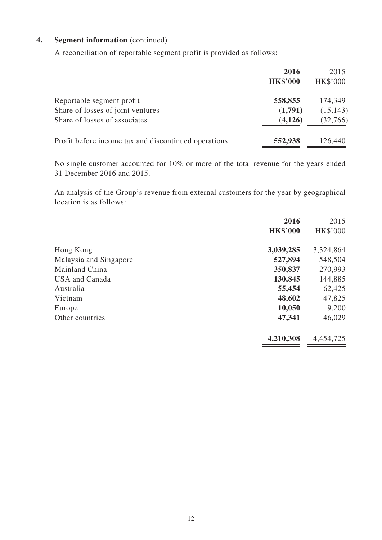### **4. Segment information** (continued)

A reconciliation of reportable segment profit is provided as follows:

|                                                      | 2016            | 2015            |
|------------------------------------------------------|-----------------|-----------------|
|                                                      | <b>HK\$'000</b> | <b>HK\$'000</b> |
| Reportable segment profit                            | 558,855         | 174,349         |
| Share of losses of joint ventures                    | (1,791)         | (15, 143)       |
| Share of losses of associates                        | (4, 126)        | (32,766)        |
| Profit before income tax and discontinued operations | 552,938         | 126,440         |

No single customer accounted for 10% or more of the total revenue for the years ended 31 December 2016 and 2015.

An analysis of the Group's revenue from external customers for the year by geographical location is as follows:

| 2015            |
|-----------------|
| <b>HK\$'000</b> |
| 3,324,864       |
| 548,504         |
| 270,993         |
| 144,885         |
| 62,425          |
| 47,825          |
| 9,200           |
| 46,029          |
| 4,454,725       |
|                 |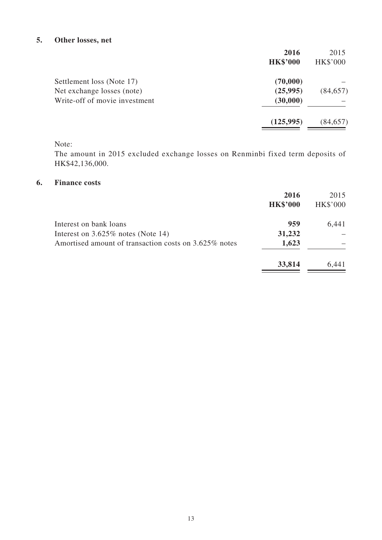### **5. Other losses, net**

|                               | 2016            | 2015            |
|-------------------------------|-----------------|-----------------|
|                               | <b>HK\$'000</b> | <b>HK\$'000</b> |
| Settlement loss (Note 17)     | (70,000)        |                 |
| Net exchange losses (note)    | (25,995)        | (84, 657)       |
| Write-off of movie investment | (30,000)        |                 |
|                               | (125, 995)      | (84, 657)       |
|                               |                 |                 |

### Note:

The amount in 2015 excluded exchange losses on Renminbi fixed term deposits of HK\$42,136,000.

#### **6. Finance costs**

|                                                       | 2016<br><b>HK\$'000</b> | 2015<br><b>HK\$'000</b> |
|-------------------------------------------------------|-------------------------|-------------------------|
| Interest on bank loans                                | 959                     | 6,441                   |
| Interest on $3.625\%$ notes (Note 14)                 | 31,232                  |                         |
| Amortised amount of transaction costs on 3.625% notes | 1,623                   |                         |
|                                                       | 33,814                  | 6,441                   |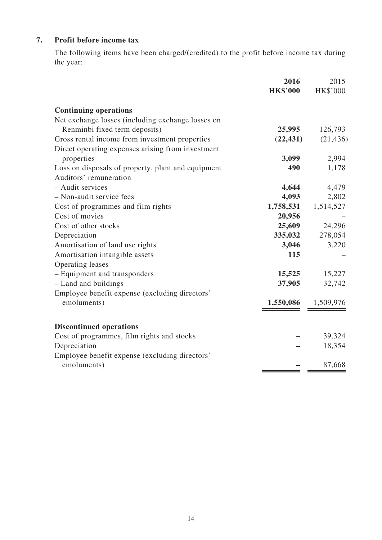## **7. Profit before income tax**

The following items have been charged/(credited) to the profit before income tax during the year:

|                                                    | 2016            | 2015            |
|----------------------------------------------------|-----------------|-----------------|
|                                                    | <b>HK\$'000</b> | <b>HK\$'000</b> |
| <b>Continuing operations</b>                       |                 |                 |
| Net exchange losses (including exchange losses on  |                 |                 |
| Renminbi fixed term deposits)                      | 25,995          | 126,793         |
| Gross rental income from investment properties     | (22, 431)       | (21, 436)       |
| Direct operating expenses arising from investment  |                 |                 |
| properties                                         | 3,099           | 2,994           |
| Loss on disposals of property, plant and equipment | 490             | 1,178           |
| Auditors' remuneration                             |                 |                 |
| - Audit services                                   | 4,644           | 4,479           |
| - Non-audit service fees                           | 4,093           | 2,802           |
| Cost of programmes and film rights                 | 1,758,531       | 1,514,527       |
| Cost of movies                                     | 20,956          |                 |
| Cost of other stocks                               | 25,609          | 24,296          |
| Depreciation                                       | 335,032         | 278,054         |
| Amortisation of land use rights                    | 3,046           | 3,220           |
| Amortisation intangible assets                     | 115             |                 |
| Operating leases                                   |                 |                 |
| - Equipment and transponders                       | 15,525          | 15,227          |
| - Land and buildings                               | 37,905          | 32,742          |
| Employee benefit expense (excluding directors'     |                 |                 |
| emoluments)                                        | 1,550,086       | 1,509,976       |
|                                                    |                 |                 |
| <b>Discontinued operations</b>                     |                 |                 |
| Cost of programmes, film rights and stocks         |                 | 39,324          |
| Depreciation                                       |                 | 18,354          |
| Employee benefit expense (excluding directors'     |                 |                 |
| emoluments)                                        |                 | 87,668          |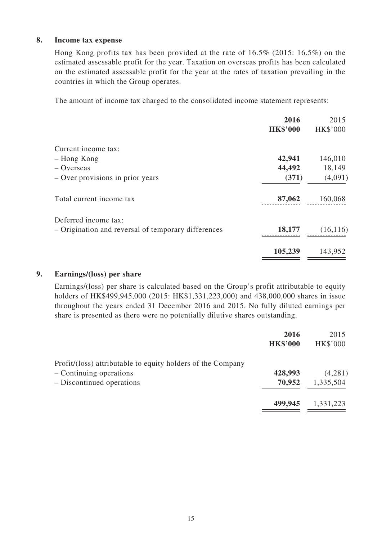#### **8. Income tax expense**

Hong Kong profits tax has been provided at the rate of 16.5% (2015: 16.5%) on the estimated assessable profit for the year. Taxation on overseas profits has been calculated on the estimated assessable profit for the year at the rates of taxation prevailing in the countries in which the Group operates.

The amount of income tax charged to the consolidated income statement represents:

|                                                     | 2016            | 2015            |
|-----------------------------------------------------|-----------------|-----------------|
|                                                     | <b>HK\$'000</b> | <b>HK\$'000</b> |
| Current income tax:                                 |                 |                 |
| - Hong Kong                                         | 42,941          | 146,010         |
| $-$ Overseas                                        | 44,492          | 18,149          |
| $-$ Over provisions in prior years                  | (371)           | (4,091)         |
| Total current income tax                            | 87,062          | 160,068         |
| Deferred income tax:                                |                 |                 |
| - Origination and reversal of temporary differences | 18,177          | (16, 116)       |
|                                                     | 105,239         | 143,952         |
|                                                     |                 |                 |

#### **9. Earnings/(loss) per share**

Earnings/(loss) per share is calculated based on the Group's profit attributable to equity holders of HK\$499,945,000 (2015: HK\$1,331,223,000) and 438,000,000 shares in issue throughout the years ended 31 December 2016 and 2015. No fully diluted earnings per share is presented as there were no potentially dilutive shares outstanding.

|                                                             | 2016<br><b>HK\$'000</b> | 2015<br><b>HK\$'000</b> |
|-------------------------------------------------------------|-------------------------|-------------------------|
| Profit/(loss) attributable to equity holders of the Company |                         |                         |
| - Continuing operations                                     | 428,993                 | (4,281)                 |
| - Discontinued operations                                   | 70,952                  | 1,335,504               |
|                                                             | 499,945                 | 1,331,223               |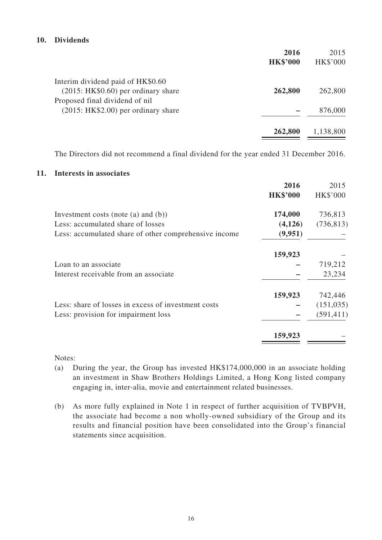#### **10. Dividends**

| 2016            | 2015            |
|-----------------|-----------------|
| <b>HK\$'000</b> | <b>HK\$'000</b> |
|                 |                 |
| 262,800         | 262,800         |
|                 |                 |
|                 | 876,000         |
| 262,800         | 1,138,800       |
|                 |                 |

The Directors did not recommend a final dividend for the year ended 31 December 2016.

#### **11. Interests in associates**

|                                                       | 2016            | 2015            |
|-------------------------------------------------------|-----------------|-----------------|
|                                                       | <b>HK\$'000</b> | <b>HK\$'000</b> |
| Investment costs (note (a) and $(b)$ )                | 174,000         | 736,813         |
| Less: accumulated share of losses                     | (4,126)         | (736, 813)      |
| Less: accumulated share of other comprehensive income | (9,951)         |                 |
|                                                       | 159,923         |                 |
| Loan to an associate                                  |                 | 719,212         |
| Interest receivable from an associate                 |                 | 23,234          |
|                                                       | 159,923         | 742,446         |
| Less: share of losses in excess of investment costs   |                 | (151, 035)      |
| Less: provision for impairment loss                   |                 | (591, 411)      |
|                                                       | 159,923         |                 |
|                                                       |                 |                 |

Notes:

- (a) During the year, the Group has invested HK\$174,000,000 in an associate holding an investment in Shaw Brothers Holdings Limited, a Hong Kong listed company engaging in, inter-alia, movie and entertainment related businesses.
- (b) As more fully explained in Note 1 in respect of further acquisition of TVBPVH, the associate had become a non wholly-owned subsidiary of the Group and its results and financial position have been consolidated into the Group's financial statements since acquisition.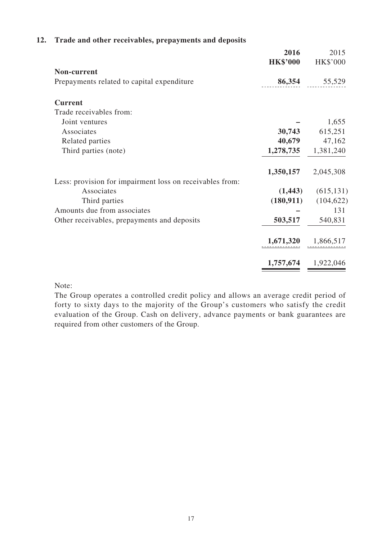|                                                          | 2016<br><b>HK\$'000</b> | 2015<br><b>HK\$'000</b> |
|----------------------------------------------------------|-------------------------|-------------------------|
| Non-current                                              |                         |                         |
| Prepayments related to capital expenditure               | 86,354                  | 55,529                  |
| <b>Current</b>                                           |                         |                         |
| Trade receivables from:                                  |                         |                         |
| Joint ventures                                           |                         | 1,655                   |
| Associates                                               | 30,743                  | 615,251                 |
| Related parties                                          | 40,679                  | 47,162                  |
| Third parties (note)                                     | 1,278,735               | 1,381,240               |
|                                                          | 1,350,157               | 2,045,308               |
| Less: provision for impairment loss on receivables from: |                         |                         |
| Associates                                               | (1, 443)                | (615, 131)              |
| Third parties                                            | (180, 911)              | (104, 622)              |
| Amounts due from associates                              |                         | 131                     |
| Other receivables, prepayments and deposits              | 503,517                 | 540,831                 |
|                                                          | 1,671,320               | 1,866,517               |
|                                                          | 1,757,674               | 1,922,046               |

### **12. Trade and other receivables, prepayments and deposits**

Note:

The Group operates a controlled credit policy and allows an average credit period of forty to sixty days to the majority of the Group's customers who satisfy the credit evaluation of the Group. Cash on delivery, advance payments or bank guarantees are required from other customers of the Group.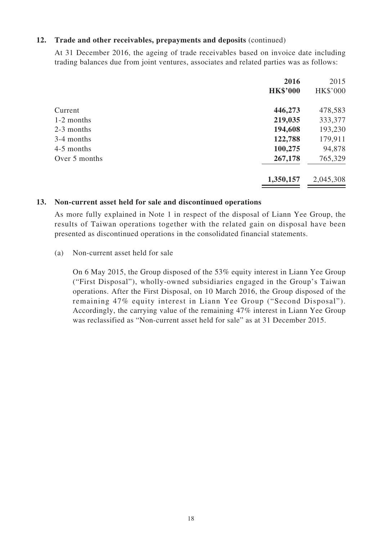#### **12. Trade and other receivables, prepayments and deposits** (continued)

At 31 December 2016, the ageing of trade receivables based on invoice date including trading balances due from joint ventures, associates and related parties was as follows:

|               | 2016            | 2015            |
|---------------|-----------------|-----------------|
|               | <b>HK\$'000</b> | <b>HK\$'000</b> |
| Current       | 446,273         | 478,583         |
| 1-2 months    | 219,035         | 333,377         |
| 2-3 months    | 194,608         | 193,230         |
| 3-4 months    | 122,788         | 179,911         |
| 4-5 months    | 100,275         | 94,878          |
| Over 5 months | 267,178         | 765,329         |
|               | 1,350,157       | 2,045,308       |

#### **13. Non-current asset held for sale and discontinued operations**

As more fully explained in Note 1 in respect of the disposal of Liann Yee Group, the results of Taiwan operations together with the related gain on disposal have been presented as discontinued operations in the consolidated financial statements.

#### (a) Non-current asset held for sale

On 6 May 2015, the Group disposed of the 53% equity interest in Liann Yee Group ("First Disposal"), wholly-owned subsidiaries engaged in the Group's Taiwan operations. After the First Disposal, on 10 March 2016, the Group disposed of the remaining 47% equity interest in Liann Yee Group ("Second Disposal"). Accordingly, the carrying value of the remaining 47% interest in Liann Yee Group was reclassified as "Non-current asset held for sale" as at 31 December 2015.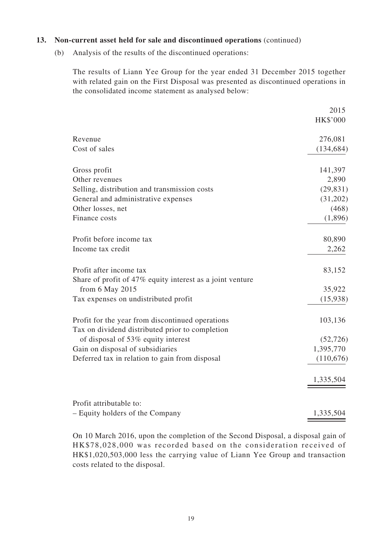#### **13. Non-current asset held for sale and discontinued operations** (continued)

(b) Analysis of the results of the discontinued operations:

The results of Liann Yee Group for the year ended 31 December 2015 together with related gain on the First Disposal was presented as discontinued operations in the consolidated income statement as analysed below:

|                                                           | 2015            |
|-----------------------------------------------------------|-----------------|
|                                                           | <b>HK\$'000</b> |
| Revenue                                                   | 276,081         |
| Cost of sales                                             | (134, 684)      |
| Gross profit                                              | 141,397         |
| Other revenues                                            | 2,890           |
| Selling, distribution and transmission costs              | (29, 831)       |
| General and administrative expenses                       | (31,202)        |
| Other losses, net                                         | (468)           |
| Finance costs                                             | (1,896)         |
| Profit before income tax                                  | 80,890          |
| Income tax credit                                         | 2,262           |
| Profit after income tax                                   | 83,152          |
| Share of profit of 47% equity interest as a joint venture |                 |
| from $6$ May $2015$                                       | 35,922          |
| Tax expenses on undistributed profit                      | (15,938)        |
| Profit for the year from discontinued operations          | 103,136         |
| Tax on dividend distributed prior to completion           |                 |
| of disposal of 53% equity interest                        | (52, 726)       |
| Gain on disposal of subsidiaries                          | 1,395,770       |
| Deferred tax in relation to gain from disposal            | (110,676)       |
|                                                           | 1,335,504       |
| Profit attributable to:                                   |                 |
| - Equity holders of the Company                           | 1,335,504       |

On 10 March 2016, upon the completion of the Second Disposal, a disposal gain of HK\$78,028,000 was recorded based on the consideration received of HK\$1,020,503,000 less the carrying value of Liann Yee Group and transaction costs related to the disposal.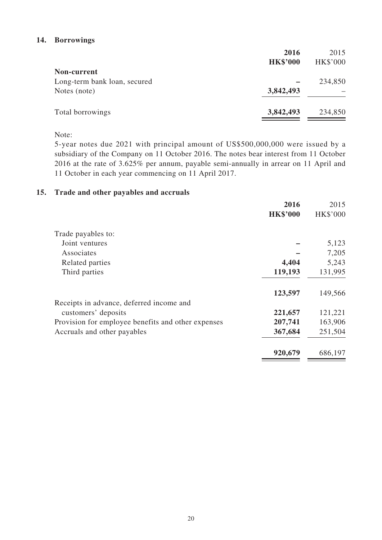#### **14. Borrowings**

|                              | 2016            | 2015            |
|------------------------------|-----------------|-----------------|
|                              | <b>HK\$'000</b> | <b>HK\$'000</b> |
| Non-current                  |                 |                 |
| Long-term bank loan, secured |                 | 234,850         |
| Notes (note)                 | 3,842,493       |                 |
| Total borrowings             | 3,842,493       | 234,850         |
|                              |                 |                 |

Note:

5-year notes due 2021 with principal amount of US\$500,000,000 were issued by a subsidiary of the Company on 11 October 2016. The notes bear interest from 11 October 2016 at the rate of 3.625% per annum, payable semi-annually in arrear on 11 April and 11 October in each year commencing on 11 April 2017.

#### **15. Trade and other payables and accruals**

| 2016                                                          | 2015            |
|---------------------------------------------------------------|-----------------|
| <b>HK\$'000</b>                                               | <b>HK\$'000</b> |
| Trade payables to:                                            |                 |
| Joint ventures                                                | 5,123           |
| Associates                                                    | 7,205           |
| 4,404<br>Related parties                                      | 5,243           |
| 119,193<br>Third parties                                      | 131,995         |
| 123,597                                                       | 149,566         |
| Receipts in advance, deferred income and                      |                 |
| 221,657<br>customers' deposits                                | 121,221         |
| 207,741<br>Provision for employee benefits and other expenses | 163,906         |
| 367,684<br>Accruals and other payables                        | 251,504         |
| 920,679                                                       | 686,197         |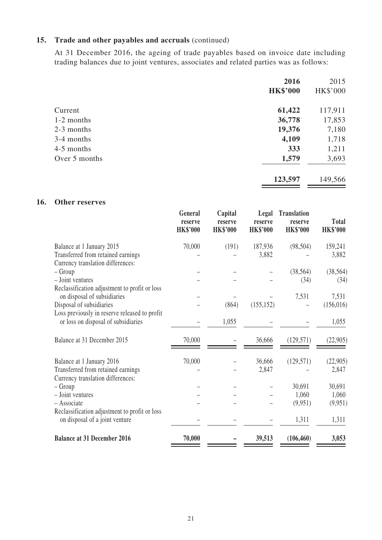### **15. Trade and other payables and accruals** (continued)

At 31 December 2016, the ageing of trade payables based on invoice date including trading balances due to joint ventures, associates and related parties was as follows:

|               | 2016            | 2015     |
|---------------|-----------------|----------|
|               | <b>HK\$'000</b> | HK\$'000 |
| Current       | 61,422          | 117,911  |
| 1-2 months    | 36,778          | 17,853   |
| 2-3 months    | 19,376          | 7,180    |
| 3-4 months    | 4,109           | 1,718    |
| 4-5 months    | 333             | 1,211    |
| Over 5 months | 1,579           | 3,693    |
|               | 123,597         | 149,566  |
|               |                 |          |

### **16. Other reserves**

|                                               | General<br>reserve<br><b>HK\$'000</b> | Capital<br>reserve<br><b>HK\$'000</b> | Legal<br>reserve<br><b>HK\$'000</b> | <b>Translation</b><br>reserve<br><b>HK\$'000</b> | <b>Total</b><br><b>HK\$'000</b> |
|-----------------------------------------------|---------------------------------------|---------------------------------------|-------------------------------------|--------------------------------------------------|---------------------------------|
| Balance at 1 January 2015                     | 70,000                                | (191)                                 | 187,936                             | (98, 504)                                        | 159,241                         |
| Transferred from retained earnings            |                                       |                                       | 3,882                               |                                                  | 3,882                           |
| Currency translation differences:             |                                       |                                       |                                     |                                                  |                                 |
| $-$ Group                                     |                                       |                                       |                                     | (38, 564)                                        | (38, 564)                       |
| - Joint ventures                              |                                       |                                       |                                     | (34)                                             | (34)                            |
| Reclassification adjustment to profit or loss |                                       |                                       |                                     |                                                  |                                 |
| on disposal of subsidiaries                   |                                       |                                       |                                     | 7,531                                            | 7,531                           |
| Disposal of subsidiaries                      |                                       | (864)                                 | (155, 152)                          |                                                  | (156, 016)                      |
| Loss previously in reserve released to profit |                                       |                                       |                                     |                                                  |                                 |
| or loss on disposal of subsidiaries           |                                       | 1,055                                 |                                     |                                                  | 1,055                           |
| Balance at 31 December 2015                   | 70,000                                |                                       | 36,666                              | (129, 571)                                       | (22, 905)                       |
| Balance at 1 January 2016                     | 70,000                                |                                       | 36,666                              | (129, 571)                                       | (22,905)                        |
| Transferred from retained earnings            |                                       |                                       | 2,847                               |                                                  | 2,847                           |
| Currency translation differences:             |                                       |                                       |                                     |                                                  |                                 |
| – Group                                       |                                       |                                       |                                     | 30,691                                           | 30,691                          |
| - Joint ventures                              |                                       |                                       |                                     | 1,060                                            | 1,060                           |
| - Associate                                   |                                       |                                       |                                     | (9,951)                                          | (9,951)                         |
| Reclassification adjustment to profit or loss |                                       |                                       |                                     |                                                  |                                 |
| on disposal of a joint venture                |                                       |                                       |                                     | 1,311                                            | 1,311                           |
| <b>Balance at 31 December 2016</b>            | 70,000                                |                                       | 39,513                              | (106, 460)                                       | 3,053                           |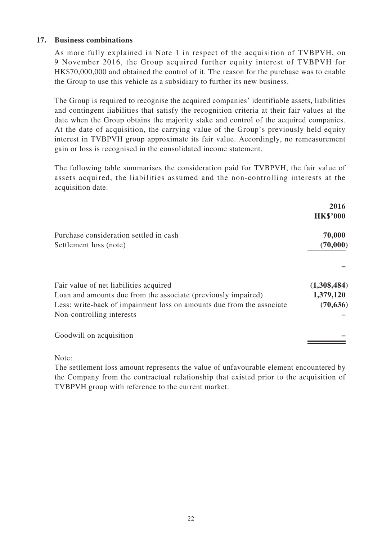#### **17. Business combinations**

As more fully explained in Note 1 in respect of the acquisition of TVBPVH, on 9 November 2016, the Group acquired further equity interest of TVBPVH for HK\$70,000,000 and obtained the control of it. The reason for the purchase was to enable the Group to use this vehicle as a subsidiary to further its new business.

The Group is required to recognise the acquired companies' identifiable assets, liabilities and contingent liabilities that satisfy the recognition criteria at their fair values at the date when the Group obtains the majority stake and control of the acquired companies. At the date of acquisition, the carrying value of the Group's previously held equity interest in TVBPVH group approximate its fair value. Accordingly, no remeasurement gain or loss is recognised in the consolidated income statement.

The following table summarises the consideration paid for TVBPVH, the fair value of assets acquired, the liabilities assumed and the non-controlling interests at the acquisition date.

|                                                                                                                                                                                                               | 2016<br><b>HK\$'000</b>               |
|---------------------------------------------------------------------------------------------------------------------------------------------------------------------------------------------------------------|---------------------------------------|
| Purchase consideration settled in cash<br>Settlement loss (note)                                                                                                                                              | 70,000<br>(70,000)                    |
|                                                                                                                                                                                                               |                                       |
| Fair value of net liabilities acquired<br>Loan and amounts due from the associate (previously impaired)<br>Less: write-back of impairment loss on amounts due from the associate<br>Non-controlling interests | (1,308,484)<br>1,379,120<br>(70, 636) |
| Goodwill on acquisition                                                                                                                                                                                       |                                       |
|                                                                                                                                                                                                               |                                       |

Note:

The settlement loss amount represents the value of unfavourable element encountered by the Company from the contractual relationship that existed prior to the acquisition of TVBPVH group with reference to the current market.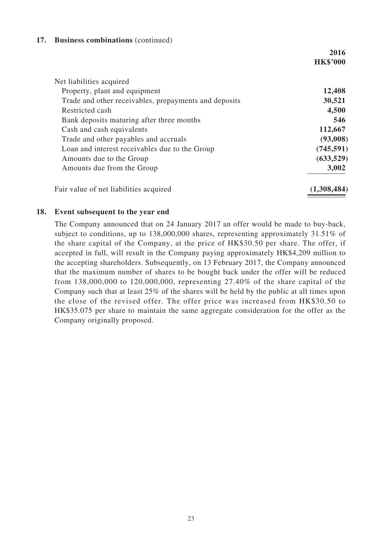#### **17. Business combinations** (continued)

|                                                       | 2016            |
|-------------------------------------------------------|-----------------|
|                                                       | <b>HK\$'000</b> |
| Net liabilities acquired                              |                 |
| Property, plant and equipment                         | 12,408          |
| Trade and other receivables, prepayments and deposits | 30,521          |
| Restricted cash                                       | 4,500           |
| Bank deposits maturing after three months             | 546             |
| Cash and cash equivalents                             | 112,667         |
| Trade and other payables and accruals                 | (93,008)        |
| Loan and interest receivables due to the Group        | (745, 591)      |
| Amounts due to the Group                              | (633,529)       |
| Amounts due from the Group                            | 3,002           |
| Fair value of net liabilities acquired                | (1,308,484)     |

#### **18. Event subsequent to the year end**

The Company announced that on 24 January 2017 an offer would be made to buy-back, subject to conditions, up to 138,000,000 shares, representing approximately 31.51% of the share capital of the Company, at the price of HK\$30.50 per share. The offer, if accepted in full, will result in the Company paying approximately HK\$4,209 million to the accepting shareholders. Subsequently, on 13 February 2017, the Company announced that the maximum number of shares to be bought back under the offer will be reduced from 138,000,000 to 120,000,000, representing 27.40% of the share capital of the Company such that at least 25% of the shares will be held by the public at all times upon the close of the revised offer. The offer price was increased from HK\$30.50 to HK\$35.075 per share to maintain the same aggregate consideration for the offer as the Company originally proposed.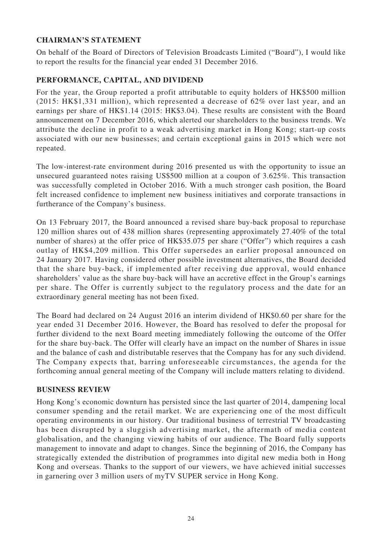### **CHAIRMAN'S STATEMENT**

On behalf of the Board of Directors of Television Broadcasts Limited ("Board"), I would like to report the results for the financial year ended 31 December 2016.

### **PERFORMANCE, CAPITAL, AND DIVIDEND**

For the year, the Group reported a profit attributable to equity holders of HK\$500 million (2015: HK\$1,331 million), which represented a decrease of 62% over last year, and an earnings per share of HK\$1.14 (2015: HK\$3.04). These results are consistent with the Board announcement on 7 December 2016, which alerted our shareholders to the business trends. We attribute the decline in profit to a weak advertising market in Hong Kong; start-up costs associated with our new businesses; and certain exceptional gains in 2015 which were not repeated.

The low-interest-rate environment during 2016 presented us with the opportunity to issue an unsecured guaranteed notes raising US\$500 million at a coupon of 3.625%. This transaction was successfully completed in October 2016. With a much stronger cash position, the Board felt increased confidence to implement new business initiatives and corporate transactions in furtherance of the Company's business.

On 13 February 2017, the Board announced a revised share buy-back proposal to repurchase 120 million shares out of 438 million shares (representing approximately 27.40% of the total number of shares) at the offer price of HK\$35.075 per share ("Offer") which requires a cash outlay of HK\$4,209 million. This Offer supersedes an earlier proposal announced on 24 January 2017. Having considered other possible investment alternatives, the Board decided that the share buy-back, if implemented after receiving due approval, would enhance shareholders' value as the share buy-back will have an accretive effect in the Group's earnings per share. The Offer is currently subject to the regulatory process and the date for an extraordinary general meeting has not been fixed.

The Board had declared on 24 August 2016 an interim dividend of HK\$0.60 per share for the year ended 31 December 2016. However, the Board has resolved to defer the proposal for further dividend to the next Board meeting immediately following the outcome of the Offer for the share buy-back. The Offer will clearly have an impact on the number of Shares in issue and the balance of cash and distributable reserves that the Company has for any such dividend. The Company expects that, barring unforeseeable circumstances, the agenda for the forthcoming annual general meeting of the Company will include matters relating to dividend.

#### **BUSINESS REVIEW**

Hong Kong's economic downturn has persisted since the last quarter of 2014, dampening local consumer spending and the retail market. We are experiencing one of the most difficult operating environments in our history. Our traditional business of terrestrial TV broadcasting has been disrupted by a sluggish advertising market, the aftermath of media content globalisation, and the changing viewing habits of our audience. The Board fully supports management to innovate and adapt to changes. Since the beginning of 2016, the Company has strategically extended the distribution of programmes into digital new media both in Hong Kong and overseas. Thanks to the support of our viewers, we have achieved initial successes in garnering over 3 million users of myTV SUPER service in Hong Kong.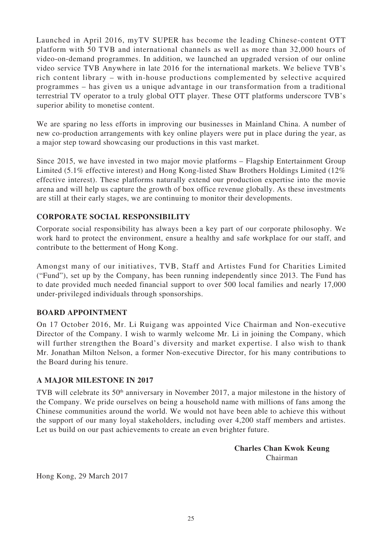Launched in April 2016, myTV SUPER has become the leading Chinese-content OTT platform with 50 TVB and international channels as well as more than 32,000 hours of video-on-demand programmes. In addition, we launched an upgraded version of our online video service TVB Anywhere in late 2016 for the international markets. We believe TVB's rich content library – with in-house productions complemented by selective acquired programmes – has given us a unique advantage in our transformation from a traditional terrestrial TV operator to a truly global OTT player. These OTT platforms underscore TVB's superior ability to monetise content.

We are sparing no less efforts in improving our businesses in Mainland China. A number of new co-production arrangements with key online players were put in place during the year, as a major step toward showcasing our productions in this vast market.

Since 2015, we have invested in two major movie platforms – Flagship Entertainment Group Limited (5.1% effective interest) and Hong Kong-listed Shaw Brothers Holdings Limited (12% effective interest). These platforms naturally extend our production expertise into the movie arena and will help us capture the growth of box office revenue globally. As these investments are still at their early stages, we are continuing to monitor their developments.

#### **CORPORATE SOCIAL RESPONSIBILITY**

Corporate social responsibility has always been a key part of our corporate philosophy. We work hard to protect the environment, ensure a healthy and safe workplace for our staff, and contribute to the betterment of Hong Kong.

Amongst many of our initiatives, TVB, Staff and Artistes Fund for Charities Limited ("Fund"), set up by the Company, has been running independently since 2013. The Fund has to date provided much needed financial support to over 500 local families and nearly 17,000 under-privileged individuals through sponsorships.

### **BOARD APPOINTMENT**

On 17 October 2016, Mr. Li Ruigang was appointed Vice Chairman and Non-executive Director of the Company. I wish to warmly welcome Mr. Li in joining the Company, which will further strengthen the Board's diversity and market expertise. I also wish to thank Mr. Jonathan Milton Nelson, a former Non-executive Director, for his many contributions to the Board during his tenure.

#### **A MAJOR MILESTONE IN 2017**

TVB will celebrate its 50<sup>th</sup> anniversary in November 2017, a major milestone in the history of the Company. We pride ourselves on being a household name with millions of fans among the Chinese communities around the world. We would not have been able to achieve this without the support of our many loyal stakeholders, including over 4,200 staff members and artistes. Let us build on our past achievements to create an even brighter future.

> **Charles Chan Kwok Keung** Chairman

Hong Kong, 29 March 2017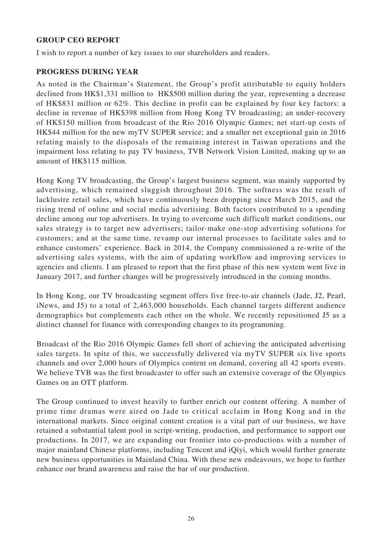#### **GROUP CEO REPORT**

I wish to report a number of key issues to our shareholders and readers.

#### **PROGRESS DURING YEAR**

As noted in the Chairman's Statement, the Group's profit attributable to equity holders declined from HK\$1,331 million to HK\$500 million during the year, representing a decrease of HK\$831 million or 62%. This decline in profit can be explained by four key factors: a decline in revenue of HK\$398 million from Hong Kong TV broadcasting; an under-recovery of HK\$150 million from broadcast of the Rio 2016 Olympic Games; net start-up costs of HK\$44 million for the new myTV SUPER service; and a smaller net exceptional gain in 2016 relating mainly to the disposals of the remaining interest in Taiwan operations and the impairment loss relating to pay TV business, TVB Network Vision Limited, making up to an amount of HK\$115 million.

Hong Kong TV broadcasting, the Group's largest business segment, was mainly supported by advertising, which remained sluggish throughout 2016. The softness was the result of lacklustre retail sales, which have continuously been dropping since March 2015, and the rising trend of online and social media advertising. Both factors contributed to a spending decline among our top advertisers. In trying to overcome such difficult market conditions, our sales strategy is to target new advertisers; tailor-make one-stop advertising solutions for customers; and at the same time, revamp our internal processes to facilitate sales and to enhance customers' experience. Back in 2014, the Company commissioned a re-write of the advertising sales systems, with the aim of updating workflow and improving services to agencies and clients. I am pleased to report that the first phase of this new system went live in January 2017, and further changes will be progressively introduced in the coming months.

In Hong Kong, our TV broadcasting segment offers five free-to-air channels (Jade, J2, Pearl, iNews, and J5) to a total of 2,463,000 households. Each channel targets different audience demographics but complements each other on the whole. We recently repositioned J5 as a distinct channel for finance with corresponding changes to its programming.

Broadcast of the Rio 2016 Olympic Games fell short of achieving the anticipated advertising sales targets. In spite of this, we successfully delivered via myTV SUPER six live sports channels and over 2,000 hours of Olympics content on demand, covering all 42 sports events. We believe TVB was the first broadcaster to offer such an extensive coverage of the Olympics Games on an OTT platform.

The Group continued to invest heavily to further enrich our content offering. A number of prime time dramas were aired on Jade to critical acclaim in Hong Kong and in the international markets. Since original content creation is a vital part of our business, we have retained a substantial talent pool in script-writing, production, and performance to support our productions. In 2017, we are expanding our frontier into co-productions with a number of major mainland Chinese platforms, including Tencent and iQiyi, which would further generate new business opportunities in Mainland China. With these new endeavours, we hope to further enhance our brand awareness and raise the bar of our production.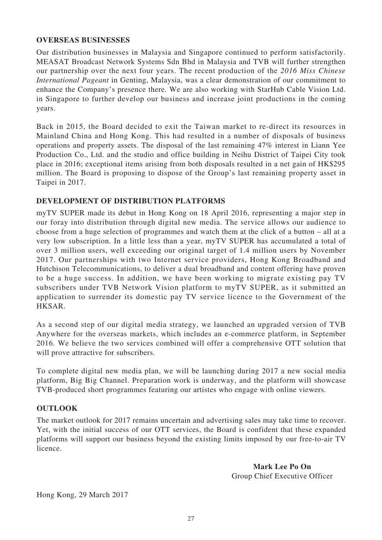#### **OVERSEAS BUSINESSES**

Our distribution businesses in Malaysia and Singapore continued to perform satisfactorily. MEASAT Broadcast Network Systems Sdn Bhd in Malaysia and TVB will further strengthen our partnership over the next four years. The recent production of the *2016 Miss Chinese International Pageant* in Genting, Malaysia, was a clear demonstration of our commitment to enhance the Company's presence there. We are also working with StarHub Cable Vision Ltd. in Singapore to further develop our business and increase joint productions in the coming years.

Back in 2015, the Board decided to exit the Taiwan market to re-direct its resources in Mainland China and Hong Kong. This had resulted in a number of disposals of business operations and property assets. The disposal of the last remaining 47% interest in Liann Yee Production Co., Ltd. and the studio and office building in Neihu District of Taipei City took place in 2016; exceptional items arising from both disposals resulted in a net gain of HK\$295 million. The Board is proposing to dispose of the Group's last remaining property asset in Taipei in 2017.

#### **DEVELOPMENT OF DISTRIBUTION PLATFORMS**

myTV SUPER made its debut in Hong Kong on 18 April 2016, representing a major step in our foray into distribution through digital new media. The service allows our audience to choose from a huge selection of programmes and watch them at the click of a button – all at a very low subscription. In a little less than a year, myTV SUPER has accumulated a total of over 3 million users, well exceeding our original target of 1.4 million users by November 2017. Our partnerships with two Internet service providers, Hong Kong Broadband and Hutchison Telecommunications, to deliver a dual broadband and content offering have proven to be a huge success. In addition, we have been working to migrate existing pay TV subscribers under TVB Network Vision platform to myTV SUPER, as it submitted an application to surrender its domestic pay TV service licence to the Government of the HKSAR.

As a second step of our digital media strategy, we launched an upgraded version of TVB Anywhere for the overseas markets, which includes an e-commerce platform, in September 2016. We believe the two services combined will offer a comprehensive OTT solution that will prove attractive for subscribers.

To complete digital new media plan, we will be launching during 2017 a new social media platform, Big Big Channel. Preparation work is underway, and the platform will showcase TVB-produced short programmes featuring our artistes who engage with online viewers.

#### **OUTLOOK**

The market outlook for 2017 remains uncertain and advertising sales may take time to recover. Yet, with the initial success of our OTT services, the Board is confident that these expanded platforms will support our business beyond the existing limits imposed by our free-to-air TV licence.

> **Mark Lee Po On** Group Chief Executive Officer

Hong Kong, 29 March 2017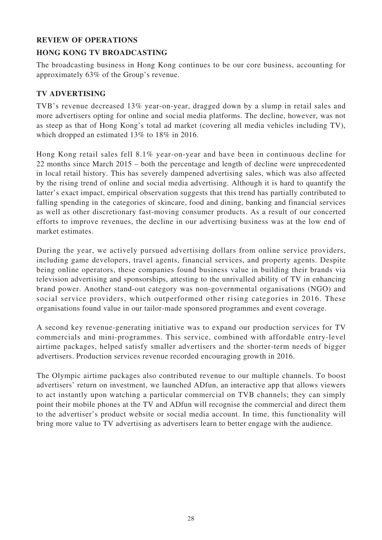#### **REVIEW OF OPERATIONS**

### **HONG KONG TV BROADCASTING**

The broadcasting business in Hong Kong continues to be our core business, accounting for approximately 63% of the Group's revenue.

### **TV ADVERTISING**

TVB's revenue decreased 13% year-on-year, dragged down by a slump in retail sales and more advertisers opting for online and social media platforms. The decline, however, was not as steep as that of Hong Kong's total ad market (covering all media vehicles including TV), which dropped an estimated 13% to 18% in 2016.

Hong Kong retail sales fell 8.1% year-on-year and have been in continuous decline for 22 months since March 2015 – both the percentage and length of decline were unprecedented in local retail history. This has severely dampened advertising sales, which was also affected by the rising trend of online and social media advertising. Although it is hard to quantify the latter's exact impact, empirical observation suggests that this trend has partially contributed to falling spending in the categories of skincare, food and dining, banking and financial services as well as other discretionary fast-moving consumer products. As a result of our concerted efforts to improve revenues, the decline in our advertising business was at the low end of market estimates.

During the year, we actively pursued advertising dollars from online service providers, including game developers, travel agents, financial services, and property agents. Despite being online operators, these companies found business value in building their brands via television advertising and sponsorships, attesting to the unrivalled ability of TV in enhancing brand power. Another stand-out category was non-governmental organisations (NGO) and social service providers, which outperformed other rising categories in 2016. These organisations found value in our tailor-made sponsored programmes and event coverage.

A second key revenue-generating initiative was to expand our production services for TV commercials and mini-programmes. This service, combined with affordable entry-level airtime packages, helped satisfy smaller advertisers and the shorter-term needs of bigger advertisers. Production services revenue recorded encouraging growth in 2016.

The Olympic airtime packages also contributed revenue to our multiple channels. To boost advertisers' return on investment, we launched ADfun, an interactive app that allows viewers to act instantly upon watching a particular commercial on TVB channels; they can simply point their mobile phones at the TV and ADfun will recognise the commercial and direct them to the advertiser's product website or social media account. In time, this functionality will bring more value to TV advertising as advertisers learn to better engage with the audience.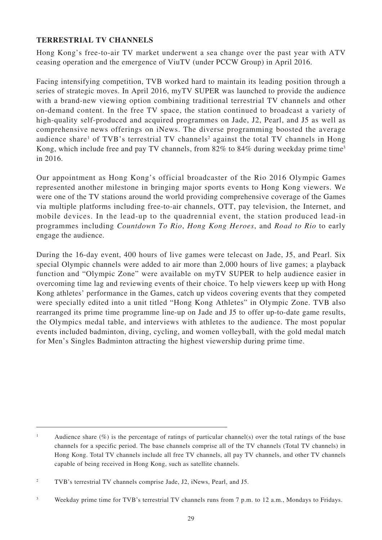#### **TERRESTRIAL TV CHANNELS**

Hong Kong's free-to-air TV market underwent a sea change over the past year with ATV ceasing operation and the emergence of ViuTV (under PCCW Group) in April 2016.

Facing intensifying competition, TVB worked hard to maintain its leading position through a series of strategic moves. In April 2016, myTV SUPER was launched to provide the audience with a brand-new viewing option combining traditional terrestrial TV channels and other on-demand content. In the free TV space, the station continued to broadcast a variety of high-quality self-produced and acquired programmes on Jade, J2, Pearl, and J5 as well as comprehensive news offerings on iNews. The diverse programming boosted the average audience share<sup>1</sup> of TVB's terrestrial TV channels<sup>2</sup> against the total TV channels in Hong Kong, which include free and pay TV channels, from 82% to 84% during weekday prime time<sup>3</sup> in 2016.

Our appointment as Hong Kong's official broadcaster of the Rio 2016 Olympic Games represented another milestone in bringing major sports events to Hong Kong viewers. We were one of the TV stations around the world providing comprehensive coverage of the Games via multiple platforms including free-to-air channels, OTT, pay television, the Internet, and mobile devices. In the lead-up to the quadrennial event, the station produced lead-in programmes including *Countdown To Rio*, *Hong Kong Heroes*, and *Road to Rio* to early engage the audience.

During the 16-day event, 400 hours of live games were telecast on Jade, J5, and Pearl. Six special Olympic channels were added to air more than 2,000 hours of live games; a playback function and "Olympic Zone" were available on myTV SUPER to help audience easier in overcoming time lag and reviewing events of their choice. To help viewers keep up with Hong Kong athletes' performance in the Games, catch up videos covering events that they competed were specially edited into a unit titled "Hong Kong Athletes" in Olympic Zone. TVB also rearranged its prime time programme line-up on Jade and J5 to offer up-to-date game results, the Olympics medal table, and interviews with athletes to the audience. The most popular events included badminton, diving, cycling, and women volleyball, with the gold medal match for Men's Singles Badminton attracting the highest viewership during prime time.

<sup>1</sup> Audience share  $(\%)$  is the percentage of ratings of particular channel(s) over the total ratings of the base channels for a specific period. The base channels comprise all of the TV channels (Total TV channels) in Hong Kong. Total TV channels include all free TV channels, all pay TV channels, and other TV channels capable of being received in Hong Kong, such as satellite channels.

<sup>2</sup> TVB's terrestrial TV channels comprise Jade, J2, iNews, Pearl, and J5.

<sup>3</sup> Weekday prime time for TVB's terrestrial TV channels runs from 7 p.m. to 12 a.m., Mondays to Fridays.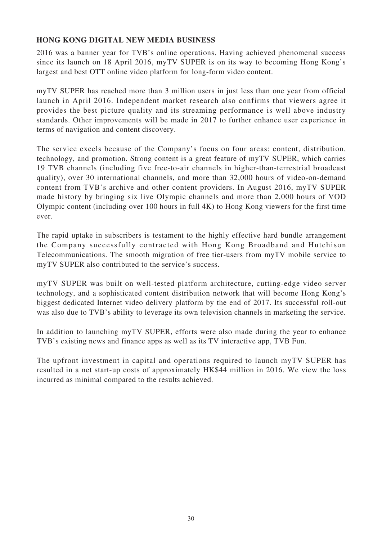### **HONG KONG DIGITAL NEW MEDIA BUSINESS**

2016 was a banner year for TVB's online operations. Having achieved phenomenal success since its launch on 18 April 2016, myTV SUPER is on its way to becoming Hong Kong's largest and best OTT online video platform for long-form video content.

myTV SUPER has reached more than 3 million users in just less than one year from official launch in April 2016. Independent market research also confirms that viewers agree it provides the best picture quality and its streaming performance is well above industry standards. Other improvements will be made in 2017 to further enhance user experience in terms of navigation and content discovery.

The service excels because of the Company's focus on four areas: content, distribution, technology, and promotion. Strong content is a great feature of myTV SUPER, which carries 19 TVB channels (including five free-to-air channels in higher-than-terrestrial broadcast quality), over 30 international channels, and more than 32,000 hours of video-on-demand content from TVB's archive and other content providers. In August 2016, myTV SUPER made history by bringing six live Olympic channels and more than 2,000 hours of VOD Olympic content (including over 100 hours in full 4K) to Hong Kong viewers for the first time ever.

The rapid uptake in subscribers is testament to the highly effective hard bundle arrangement the Company successfully contracted with Hong Kong Broadband and Hutchison Telecommunications. The smooth migration of free tier-users from myTV mobile service to myTV SUPER also contributed to the service's success.

myTV SUPER was built on well-tested platform architecture, cutting-edge video server technology, and a sophisticated content distribution network that will become Hong Kong's biggest dedicated Internet video delivery platform by the end of 2017. Its successful roll-out was also due to TVB's ability to leverage its own television channels in marketing the service.

In addition to launching myTV SUPER, efforts were also made during the year to enhance TVB's existing news and finance apps as well as its TV interactive app, TVB Fun.

The upfront investment in capital and operations required to launch myTV SUPER has resulted in a net start-up costs of approximately HK\$44 million in 2016. We view the loss incurred as minimal compared to the results achieved.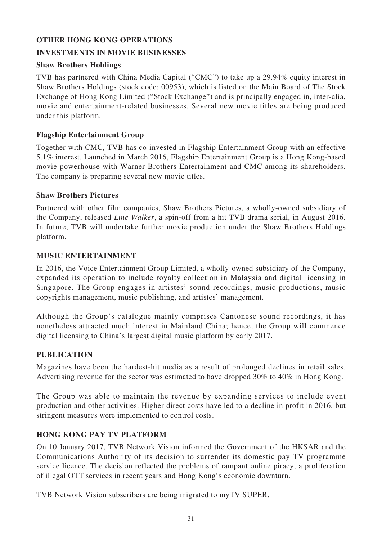### **OTHER HONG KONG OPERATIONS**

### **INVESTMENTS IN MOVIE BUSINESSES**

#### **Shaw Brothers Holdings**

TVB has partnered with China Media Capital ("CMC") to take up a 29.94% equity interest in Shaw Brothers Holdings (stock code: 00953), which is listed on the Main Board of The Stock Exchange of Hong Kong Limited ("Stock Exchange") and is principally engaged in, inter-alia, movie and entertainment-related businesses. Several new movie titles are being produced under this platform.

#### **Flagship Entertainment Group**

Together with CMC, TVB has co-invested in Flagship Entertainment Group with an effective 5.1% interest. Launched in March 2016, Flagship Entertainment Group is a Hong Kong-based movie powerhouse with Warner Brothers Entertainment and CMC among its shareholders. The company is preparing several new movie titles.

#### **Shaw Brothers Pictures**

Partnered with other film companies, Shaw Brothers Pictures, a wholly-owned subsidiary of the Company, released *Line Walker*, a spin-off from a hit TVB drama serial, in August 2016. In future, TVB will undertake further movie production under the Shaw Brothers Holdings platform.

#### **MUSIC ENTERTAINMENT**

In 2016, the Voice Entertainment Group Limited, a wholly-owned subsidiary of the Company, expanded its operation to include royalty collection in Malaysia and digital licensing in Singapore. The Group engages in artistes' sound recordings, music productions, music copyrights management, music publishing, and artistes' management.

Although the Group's catalogue mainly comprises Cantonese sound recordings, it has nonetheless attracted much interest in Mainland China; hence, the Group will commence digital licensing to China's largest digital music platform by early 2017.

#### **PUBLICATION**

Magazines have been the hardest-hit media as a result of prolonged declines in retail sales. Advertising revenue for the sector was estimated to have dropped 30% to 40% in Hong Kong.

The Group was able to maintain the revenue by expanding services to include event production and other activities. Higher direct costs have led to a decline in profit in 2016, but stringent measures were implemented to control costs.

### **HONG KONG PAY TV PLATFORM**

On 10 January 2017, TVB Network Vision informed the Government of the HKSAR and the Communications Authority of its decision to surrender its domestic pay TV programme service licence. The decision reflected the problems of rampant online piracy, a proliferation of illegal OTT services in recent years and Hong Kong's economic downturn.

TVB Network Vision subscribers are being migrated to myTV SUPER.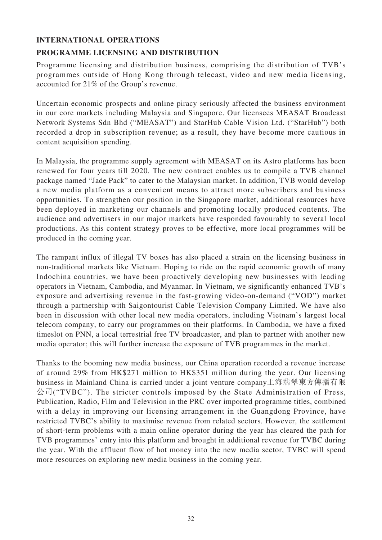#### **INTERNATIONAL OPERATIONS**

### **PROGRAMME LICENSING AND DISTRIBUTION**

Programme licensing and distribution business, comprising the distribution of TVB's programmes outside of Hong Kong through telecast, video and new media licensing, accounted for 21% of the Group's revenue.

Uncertain economic prospects and online piracy seriously affected the business environment in our core markets including Malaysia and Singapore. Our licensees MEASAT Broadcast Network Systems Sdn Bhd ("MEASAT") and StarHub Cable Vision Ltd. ("StarHub") both recorded a drop in subscription revenue; as a result, they have become more cautious in content acquisition spending.

In Malaysia, the programme supply agreement with MEASAT on its Astro platforms has been renewed for four years till 2020. The new contract enables us to compile a TVB channel package named "Jade Pack" to cater to the Malaysian market. In addition, TVB would develop a new media platform as a convenient means to attract more subscribers and business opportunities. To strengthen our position in the Singapore market, additional resources have been deployed in marketing our channels and promoting locally produced contents. The audience and advertisers in our major markets have responded favourably to several local productions. As this content strategy proves to be effective, more local programmes will be produced in the coming year.

The rampant influx of illegal TV boxes has also placed a strain on the licensing business in non-traditional markets like Vietnam. Hoping to ride on the rapid economic growth of many Indochina countries, we have been proactively developing new businesses with leading operators in Vietnam, Cambodia, and Myanmar. In Vietnam, we significantly enhanced TVB's exposure and advertising revenue in the fast-growing video-on-demand ("VOD") market through a partnership with Saigontourist Cable Television Company Limited. We have also been in discussion with other local new media operators, including Vietnam's largest local telecom company, to carry our programmes on their platforms. In Cambodia, we have a fixed timeslot on PNN, a local terrestrial free TV broadcaster, and plan to partner with another new media operator; this will further increase the exposure of TVB programmes in the market.

Thanks to the booming new media business, our China operation recorded a revenue increase of around 29% from HK\$271 million to HK\$351 million during the year. Our licensing business in Mainland China is carried under a joint venture company上海翡翠東方傳播有限  $\triangle$ 司("TVBC"). The stricter controls imposed by the State Administration of Press, Publication, Radio, Film and Television in the PRC over imported programme titles, combined with a delay in improving our licensing arrangement in the Guangdong Province, have restricted TVBC's ability to maximise revenue from related sectors. However, the settlement of short-term problems with a main online operator during the year has cleared the path for TVB programmes' entry into this platform and brought in additional revenue for TVBC during the year. With the affluent flow of hot money into the new media sector, TVBC will spend more resources on exploring new media business in the coming year.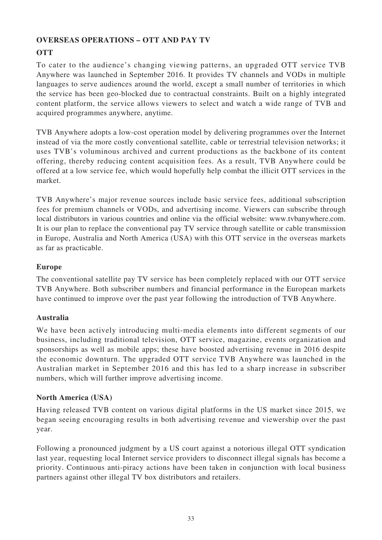### **OVERSEAS OPERATIONS – OTT AND PAY TV**

### **OTT**

To cater to the audience's changing viewing patterns, an upgraded OTT service TVB Anywhere was launched in September 2016. It provides TV channels and VODs in multiple languages to serve audiences around the world, except a small number of territories in which the service has been geo-blocked due to contractual constraints. Built on a highly integrated content platform, the service allows viewers to select and watch a wide range of TVB and acquired programmes anywhere, anytime.

TVB Anywhere adopts a low-cost operation model by delivering programmes over the Internet instead of via the more costly conventional satellite, cable or terrestrial television networks; it uses TVB's voluminous archived and current productions as the backbone of its content offering, thereby reducing content acquisition fees. As a result, TVB Anywhere could be offered at a low service fee, which would hopefully help combat the illicit OTT services in the market.

TVB Anywhere's major revenue sources include basic service fees, additional subscription fees for premium channels or VODs, and advertising income. Viewers can subscribe through local distributors in various countries and online via the official website: www.tvbanywhere.com. It is our plan to replace the conventional pay TV service through satellite or cable transmission in Europe, Australia and North America (USA) with this OTT service in the overseas markets as far as practicable.

### **Europe**

The conventional satellite pay TV service has been completely replaced with our OTT service TVB Anywhere. Both subscriber numbers and financial performance in the European markets have continued to improve over the past year following the introduction of TVB Anywhere.

### **Australia**

We have been actively introducing multi-media elements into different segments of our business, including traditional television, OTT service, magazine, events organization and sponsorships as well as mobile apps; these have boosted advertising revenue in 2016 despite the economic downturn. The upgraded OTT service TVB Anywhere was launched in the Australian market in September 2016 and this has led to a sharp increase in subscriber numbers, which will further improve advertising income.

### **North America (USA)**

Having released TVB content on various digital platforms in the US market since 2015, we began seeing encouraging results in both advertising revenue and viewership over the past year.

Following a pronounced judgment by a US court against a notorious illegal OTT syndication last year, requesting local Internet service providers to disconnect illegal signals has become a priority. Continuous anti-piracy actions have been taken in conjunction with local business partners against other illegal TV box distributors and retailers.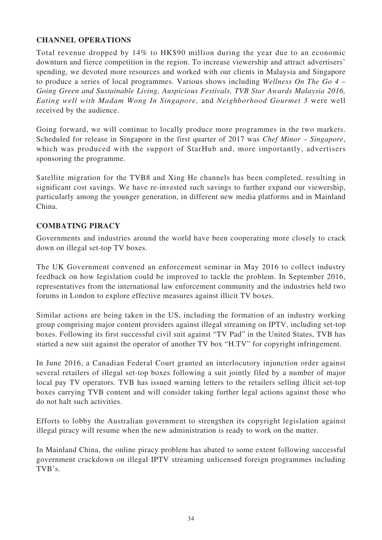### **CHANNEL OPERATIONS**

Total revenue dropped by 14% to HK\$90 million during the year due to an economic downturn and fierce competition in the region. To increase viewership and attract advertisers' spending, we devoted more resources and worked with our clients in Malaysia and Singapore to produce a series of local programmes. Various shows including *Wellness On The Go 4 – Going Green and Sustainable Living, Auspicious Festivals, TVB Star Awards Malaysia 2016, Eating well with Madam Wong In Singapore,* and *Neighborhood Gourmet 3* were well received by the audience.

Going forward, we will continue to locally produce more programmes in the two markets. Scheduled for release in Singapore in the first quarter of 2017 was *Chef Minor – Singapore*, which was produced with the support of StarHub and, more importantly, advertisers sponsoring the programme.

Satellite migration for the TVB8 and Xing He channels has been completed, resulting in significant cost savings. We have re-invested such savings to further expand our viewership, particularly among the younger generation, in different new media platforms and in Mainland China.

#### **COMBATING PIRACY**

Governments and industries around the world have been cooperating more closely to crack down on illegal set-top TV boxes.

The UK Government convened an enforcement seminar in May 2016 to collect industry feedback on how legislation could be improved to tackle the problem. In September 2016, representatives from the international law enforcement community and the industries held two forums in London to explore effective measures against illicit TV boxes.

Similar actions are being taken in the US, including the formation of an industry working group comprising major content providers against illegal streaming on IPTV, including set-top boxes. Following its first successful civil suit against "TV Pad" in the United States, TVB has started a new suit against the operator of another TV box "H.TV" for copyright infringement.

In June 2016, a Canadian Federal Court granted an interlocutory injunction order against several retailers of illegal set-top boxes following a suit jointly filed by a number of major local pay TV operators. TVB has issued warning letters to the retailers selling illicit set-top boxes carrying TVB content and will consider taking further legal actions against those who do not halt such activities.

Efforts to lobby the Australian government to strengthen its copyright legislation against illegal piracy will resume when the new administration is ready to work on the matter.

In Mainland China, the online piracy problem has abated to some extent following successful government crackdown on illegal IPTV streaming unlicensed foreign programmes including TVB's.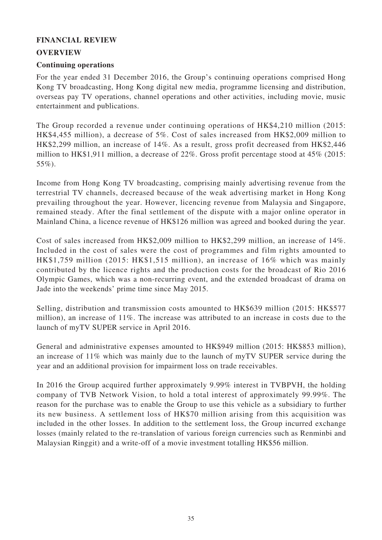#### **FINANCIAL REVIEW**

#### **OVERVIEW**

#### **Continuing operations**

For the year ended 31 December 2016, the Group's continuing operations comprised Hong Kong TV broadcasting, Hong Kong digital new media, programme licensing and distribution, overseas pay TV operations, channel operations and other activities, including movie, music entertainment and publications.

The Group recorded a revenue under continuing operations of HK\$4,210 million (2015: HK\$4,455 million), a decrease of 5%. Cost of sales increased from HK\$2,009 million to HK\$2,299 million, an increase of 14%. As a result, gross profit decreased from HK\$2,446 million to HK\$1,911 million, a decrease of 22%. Gross profit percentage stood at 45% (2015: 55%).

Income from Hong Kong TV broadcasting, comprising mainly advertising revenue from the terrestrial TV channels, decreased because of the weak advertising market in Hong Kong prevailing throughout the year. However, licencing revenue from Malaysia and Singapore, remained steady. After the final settlement of the dispute with a major online operator in Mainland China, a licence revenue of HK\$126 million was agreed and booked during the year.

Cost of sales increased from HK\$2,009 million to HK\$2,299 million, an increase of 14%. Included in the cost of sales were the cost of programmes and film rights amounted to HK\$1,759 million (2015: HK\$1,515 million), an increase of 16% which was mainly contributed by the licence rights and the production costs for the broadcast of Rio 2016 Olympic Games, which was a non-recurring event, and the extended broadcast of drama on Jade into the weekends' prime time since May 2015.

Selling, distribution and transmission costs amounted to HK\$639 million (2015: HK\$577 million), an increase of 11%. The increase was attributed to an increase in costs due to the launch of myTV SUPER service in April 2016.

General and administrative expenses amounted to HK\$949 million (2015: HK\$853 million), an increase of 11% which was mainly due to the launch of myTV SUPER service during the year and an additional provision for impairment loss on trade receivables.

In 2016 the Group acquired further approximately 9.99% interest in TVBPVH, the holding company of TVB Network Vision, to hold a total interest of approximately 99.99%. The reason for the purchase was to enable the Group to use this vehicle as a subsidiary to further its new business. A settlement loss of HK\$70 million arising from this acquisition was included in the other losses. In addition to the settlement loss, the Group incurred exchange losses (mainly related to the re-translation of various foreign currencies such as Renminbi and Malaysian Ringgit) and a write-off of a movie investment totalling HK\$56 million.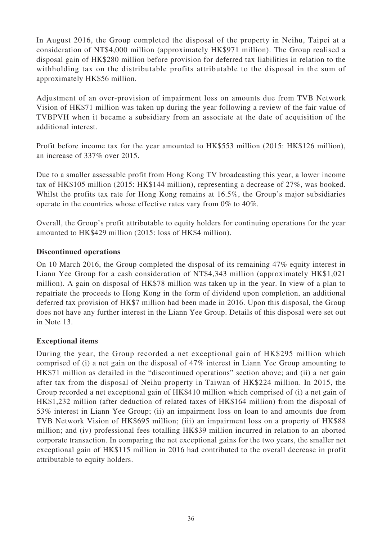In August 2016, the Group completed the disposal of the property in Neihu, Taipei at a consideration of NT\$4,000 million (approximately HK\$971 million). The Group realised a disposal gain of HK\$280 million before provision for deferred tax liabilities in relation to the withholding tax on the distributable profits attributable to the disposal in the sum of approximately HK\$56 million.

Adjustment of an over-provision of impairment loss on amounts due from TVB Network Vision of HK\$71 million was taken up during the year following a review of the fair value of TVBPVH when it became a subsidiary from an associate at the date of acquisition of the additional interest.

Profit before income tax for the year amounted to HK\$553 million (2015: HK\$126 million), an increase of 337% over 2015.

Due to a smaller assessable profit from Hong Kong TV broadcasting this year, a lower income tax of HK\$105 million (2015: HK\$144 million), representing a decrease of 27%, was booked. Whilst the profits tax rate for Hong Kong remains at 16.5%, the Group's major subsidiaries operate in the countries whose effective rates vary from 0% to 40%.

Overall, the Group's profit attributable to equity holders for continuing operations for the year amounted to HK\$429 million (2015: loss of HK\$4 million).

#### **Discontinued operations**

On 10 March 2016, the Group completed the disposal of its remaining 47% equity interest in Liann Yee Group for a cash consideration of NT\$4,343 million (approximately HK\$1,021 million). A gain on disposal of HK\$78 million was taken up in the year. In view of a plan to repatriate the proceeds to Hong Kong in the form of dividend upon completion, an additional deferred tax provision of HK\$7 million had been made in 2016. Upon this disposal, the Group does not have any further interest in the Liann Yee Group. Details of this disposal were set out in Note 13.

#### **Exceptional items**

During the year, the Group recorded a net exceptional gain of HK\$295 million which comprised of (i) a net gain on the disposal of 47% interest in Liann Yee Group amounting to HK\$71 million as detailed in the "discontinued operations" section above; and (ii) a net gain after tax from the disposal of Neihu property in Taiwan of HK\$224 million. In 2015, the Group recorded a net exceptional gain of HK\$410 million which comprised of (i) a net gain of HK\$1,232 million (after deduction of related taxes of HK\$164 million) from the disposal of 53% interest in Liann Yee Group; (ii) an impairment loss on loan to and amounts due from TVB Network Vision of HK\$695 million; (iii) an impairment loss on a property of HK\$88 million; and (iv) professional fees totalling HK\$39 million incurred in relation to an aborted corporate transaction. In comparing the net exceptional gains for the two years, the smaller net exceptional gain of HK\$115 million in 2016 had contributed to the overall decrease in profit attributable to equity holders.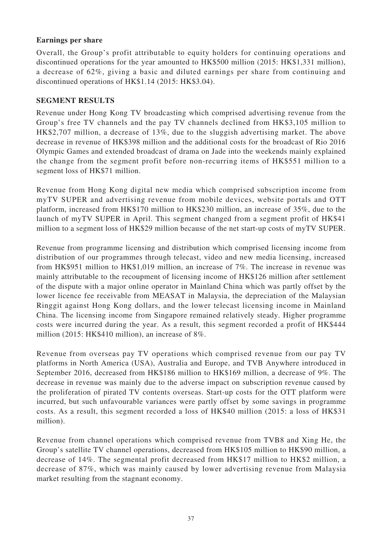#### **Earnings per share**

Overall, the Group's profit attributable to equity holders for continuing operations and discontinued operations for the year amounted to HK\$500 million (2015: HK\$1,331 million), a decrease of 62%, giving a basic and diluted earnings per share from continuing and discontinued operations of HK\$1.14 (2015: HK\$3.04).

#### **SEGMENT RESULTS**

Revenue under Hong Kong TV broadcasting which comprised advertising revenue from the Group's free TV channels and the pay TV channels declined from HK\$3,105 million to HK\$2,707 million, a decrease of 13%, due to the sluggish advertising market. The above decrease in revenue of HK\$398 million and the additional costs for the broadcast of Rio 2016 Olympic Games and extended broadcast of drama on Jade into the weekends mainly explained the change from the segment profit before non-recurring items of HK\$551 million to a segment loss of HK\$71 million.

Revenue from Hong Kong digital new media which comprised subscription income from myTV SUPER and advertising revenue from mobile devices, website portals and OTT platform, increased from HK\$170 million to HK\$230 million, an increase of 35%, due to the launch of myTV SUPER in April. This segment changed from a segment profit of HK\$41 million to a segment loss of HK\$29 million because of the net start-up costs of myTV SUPER.

Revenue from programme licensing and distribution which comprised licensing income from distribution of our programmes through telecast, video and new media licensing, increased from HK\$951 million to HK\$1,019 million, an increase of 7%. The increase in revenue was mainly attributable to the recoupment of licensing income of HK\$126 million after settlement of the dispute with a major online operator in Mainland China which was partly offset by the lower licence fee receivable from MEASAT in Malaysia, the depreciation of the Malaysian Ringgit against Hong Kong dollars, and the lower telecast licensing income in Mainland China. The licensing income from Singapore remained relatively steady. Higher programme costs were incurred during the year. As a result, this segment recorded a profit of HK\$444 million (2015: HK\$410 million), an increase of 8%.

Revenue from overseas pay TV operations which comprised revenue from our pay TV platforms in North America (USA), Australia and Europe, and TVB Anywhere introduced in September 2016, decreased from HK\$186 million to HK\$169 million, a decrease of 9%. The decrease in revenue was mainly due to the adverse impact on subscription revenue caused by the proliferation of pirated TV contents overseas. Start-up costs for the OTT platform were incurred, but such unfavourable variances were partly offset by some savings in programme costs. As a result, this segment recorded a loss of HK\$40 million (2015: a loss of HK\$31 million).

Revenue from channel operations which comprised revenue from TVB8 and Xing He, the Group's satellite TV channel operations, decreased from HK\$105 million to HK\$90 million, a decrease of 14%. The segmental profit decreased from HK\$17 million to HK\$2 million, a decrease of 87%, which was mainly caused by lower advertising revenue from Malaysia market resulting from the stagnant economy.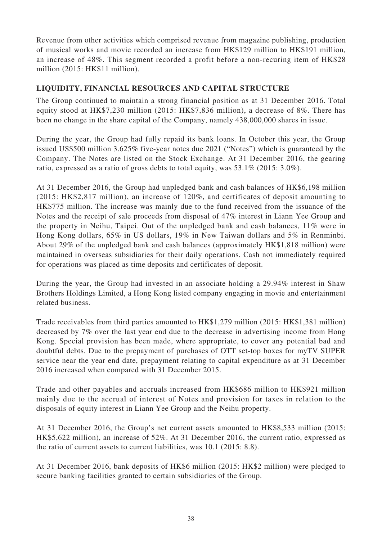Revenue from other activities which comprised revenue from magazine publishing, production of musical works and movie recorded an increase from HK\$129 million to HK\$191 million, an increase of 48%. This segment recorded a profit before a non-recuring item of HK\$28 million (2015: HK\$11 million).

### **LIQUIDITY, FINANCIAL RESOURCES AND CAPITAL STRUCTURE**

The Group continued to maintain a strong financial position as at 31 December 2016. Total equity stood at HK\$7,230 million (2015: HK\$7,836 million), a decrease of 8%. There has been no change in the share capital of the Company, namely 438,000,000 shares in issue.

During the year, the Group had fully repaid its bank loans. In October this year, the Group issued US\$500 million 3.625% five-year notes due 2021 ("Notes") which is guaranteed by the Company. The Notes are listed on the Stock Exchange. At 31 December 2016, the gearing ratio, expressed as a ratio of gross debts to total equity, was 53.1% (2015: 3.0%).

At 31 December 2016, the Group had unpledged bank and cash balances of HK\$6,198 million (2015: HK\$2,817 million), an increase of 120%, and certificates of deposit amounting to HK\$775 million. The increase was mainly due to the fund received from the issuance of the Notes and the receipt of sale proceeds from disposal of 47% interest in Liann Yee Group and the property in Neihu, Taipei. Out of the unpledged bank and cash balances, 11% were in Hong Kong dollars, 65% in US dollars, 19% in New Taiwan dollars and 5% in Renminbi. About 29% of the unpledged bank and cash balances (approximately HK\$1,818 million) were maintained in overseas subsidiaries for their daily operations. Cash not immediately required for operations was placed as time deposits and certificates of deposit.

During the year, the Group had invested in an associate holding a 29.94% interest in Shaw Brothers Holdings Limited, a Hong Kong listed company engaging in movie and entertainment related business.

Trade receivables from third parties amounted to HK\$1,279 million (2015: HK\$1,381 million) decreased by 7% over the last year end due to the decrease in advertising income from Hong Kong. Special provision has been made, where appropriate, to cover any potential bad and doubtful debts. Due to the prepayment of purchases of OTT set-top boxes for myTV SUPER service near the year end date, prepayment relating to capital expenditure as at 31 December 2016 increased when compared with 31 December 2015.

Trade and other payables and accruals increased from HK\$686 million to HK\$921 million mainly due to the accrual of interest of Notes and provision for taxes in relation to the disposals of equity interest in Liann Yee Group and the Neihu property.

At 31 December 2016, the Group's net current assets amounted to HK\$8,533 million (2015: HK\$5,622 million), an increase of 52%. At 31 December 2016, the current ratio, expressed as the ratio of current assets to current liabilities, was 10.1 (2015: 8.8).

At 31 December 2016, bank deposits of HK\$6 million (2015: HK\$2 million) were pledged to secure banking facilities granted to certain subsidiaries of the Group.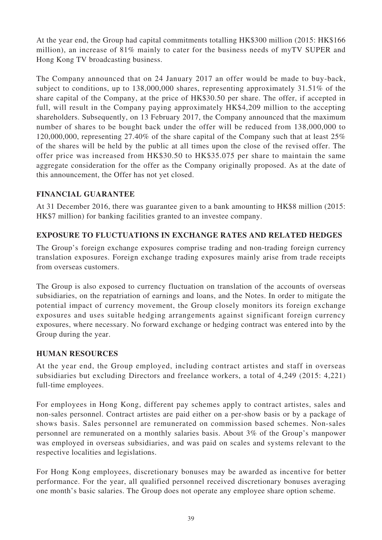At the year end, the Group had capital commitments totalling HK\$300 million (2015: HK\$166 million), an increase of 81% mainly to cater for the business needs of myTV SUPER and Hong Kong TV broadcasting business.

The Company announced that on 24 January 2017 an offer would be made to buy-back, subject to conditions, up to 138,000,000 shares, representing approximately 31.51% of the share capital of the Company, at the price of HK\$30.50 per share. The offer, if accepted in full, will result in the Company paying approximately HK\$4,209 million to the accepting shareholders. Subsequently, on 13 February 2017, the Company announced that the maximum number of shares to be bought back under the offer will be reduced from 138,000,000 to 120,000,000, representing 27.40% of the share capital of the Company such that at least 25% of the shares will be held by the public at all times upon the close of the revised offer. The offer price was increased from HK\$30.50 to HK\$35.075 per share to maintain the same aggregate consideration for the offer as the Company originally proposed. As at the date of this announcement, the Offer has not yet closed.

### **FINANCIAL GUARANTEE**

At 31 December 2016, there was guarantee given to a bank amounting to HK\$8 million (2015: HK\$7 million) for banking facilities granted to an investee company.

### **EXPOSURE TO FLUCTUATIONS IN EXCHANGE RATES AND RELATED HEDGES**

The Group's foreign exchange exposures comprise trading and non-trading foreign currency translation exposures. Foreign exchange trading exposures mainly arise from trade receipts from overseas customers.

The Group is also exposed to currency fluctuation on translation of the accounts of overseas subsidiaries, on the repatriation of earnings and loans, and the Notes. In order to mitigate the potential impact of currency movement, the Group closely monitors its foreign exchange exposures and uses suitable hedging arrangements against significant foreign currency exposures, where necessary. No forward exchange or hedging contract was entered into by the Group during the year.

### **HUMAN RESOURCES**

At the year end, the Group employed, including contract artistes and staff in overseas subsidiaries but excluding Directors and freelance workers, a total of 4,249 (2015: 4,221) full-time employees.

For employees in Hong Kong, different pay schemes apply to contract artistes, sales and non-sales personnel. Contract artistes are paid either on a per-show basis or by a package of shows basis. Sales personnel are remunerated on commission based schemes. Non-sales personnel are remunerated on a monthly salaries basis. About 3% of the Group's manpower was employed in overseas subsidiaries, and was paid on scales and systems relevant to the respective localities and legislations.

For Hong Kong employees, discretionary bonuses may be awarded as incentive for better performance. For the year, all qualified personnel received discretionary bonuses averaging one month's basic salaries. The Group does not operate any employee share option scheme.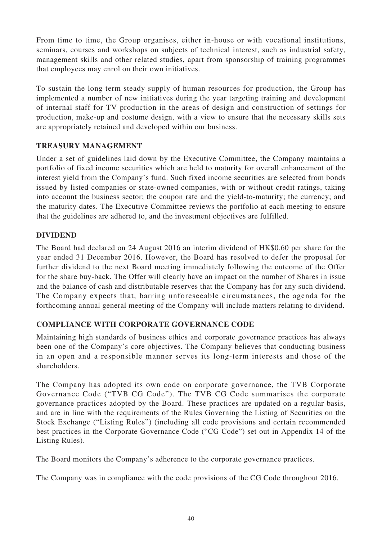From time to time, the Group organises, either in-house or with vocational institutions, seminars, courses and workshops on subjects of technical interest, such as industrial safety, management skills and other related studies, apart from sponsorship of training programmes that employees may enrol on their own initiatives.

To sustain the long term steady supply of human resources for production, the Group has implemented a number of new initiatives during the year targeting training and development of internal staff for TV production in the areas of design and construction of settings for production, make-up and costume design, with a view to ensure that the necessary skills sets are appropriately retained and developed within our business.

### **TREASURY MANAGEMENT**

Under a set of guidelines laid down by the Executive Committee, the Company maintains a portfolio of fixed income securities which are held to maturity for overall enhancement of the interest yield from the Company's fund. Such fixed income securities are selected from bonds issued by listed companies or state-owned companies, with or without credit ratings, taking into account the business sector; the coupon rate and the yield-to-maturity; the currency; and the maturity dates. The Executive Committee reviews the portfolio at each meeting to ensure that the guidelines are adhered to, and the investment objectives are fulfilled.

### **DIVIDEND**

The Board had declared on 24 August 2016 an interim dividend of HK\$0.60 per share for the year ended 31 December 2016. However, the Board has resolved to defer the proposal for further dividend to the next Board meeting immediately following the outcome of the Offer for the share buy-back. The Offer will clearly have an impact on the number of Shares in issue and the balance of cash and distributable reserves that the Company has for any such dividend. The Company expects that, barring unforeseeable circumstances, the agenda for the forthcoming annual general meeting of the Company will include matters relating to dividend.

### **COMPLIANCE WITH CORPORATE GOVERNANCE CODE**

Maintaining high standards of business ethics and corporate governance practices has always been one of the Company's core objectives. The Company believes that conducting business in an open and a responsible manner serves its long-term interests and those of the shareholders.

The Company has adopted its own code on corporate governance, the TVB Corporate Governance Code ("TVB CG Code"). The TVB CG Code summarises the corporate governance practices adopted by the Board. These practices are updated on a regular basis, and are in line with the requirements of the Rules Governing the Listing of Securities on the Stock Exchange ("Listing Rules") (including all code provisions and certain recommended best practices in the Corporate Governance Code ("CG Code") set out in Appendix 14 of the Listing Rules).

The Board monitors the Company's adherence to the corporate governance practices.

The Company was in compliance with the code provisions of the CG Code throughout 2016.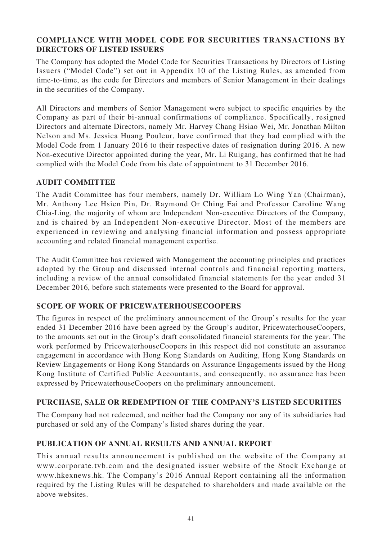#### **COMPLIANCE WITH MODEL CODE FOR SECURITIES TRANSACTIONS BY DIRECTORS OF LISTED ISSUERS**

The Company has adopted the Model Code for Securities Transactions by Directors of Listing Issuers ("Model Code") set out in Appendix 10 of the Listing Rules, as amended from time-to-time, as the code for Directors and members of Senior Management in their dealings in the securities of the Company.

All Directors and members of Senior Management were subject to specific enquiries by the Company as part of their bi-annual confirmations of compliance. Specifically, resigned Directors and alternate Directors, namely Mr. Harvey Chang Hsiao Wei, Mr. Jonathan Milton Nelson and Ms. Jessica Huang Pouleur, have confirmed that they had complied with the Model Code from 1 January 2016 to their respective dates of resignation during 2016. A new Non-executive Director appointed during the year, Mr. Li Ruigang, has confirmed that he had complied with the Model Code from his date of appointment to 31 December 2016.

#### **AUDIT COMMITTEE**

The Audit Committee has four members, namely Dr. William Lo Wing Yan (Chairman), Mr. Anthony Lee Hsien Pin, Dr. Raymond Or Ching Fai and Professor Caroline Wang Chia-Ling, the majority of whom are Independent Non-executive Directors of the Company, and is chaired by an Independent Non-executive Director. Most of the members are experienced in reviewing and analysing financial information and possess appropriate accounting and related financial management expertise.

The Audit Committee has reviewed with Management the accounting principles and practices adopted by the Group and discussed internal controls and financial reporting matters, including a review of the annual consolidated financial statements for the year ended 31 December 2016, before such statements were presented to the Board for approval.

### **SCOPE OF WORK OF PRICEWATERHOUSECOOPERS**

The figures in respect of the preliminary announcement of the Group's results for the year ended 31 December 2016 have been agreed by the Group's auditor, PricewaterhouseCoopers, to the amounts set out in the Group's draft consolidated financial statements for the year. The work performed by PricewaterhouseCoopers in this respect did not constitute an assurance engagement in accordance with Hong Kong Standards on Auditing, Hong Kong Standards on Review Engagements or Hong Kong Standards on Assurance Engagements issued by the Hong Kong Institute of Certified Public Accountants, and consequently, no assurance has been expressed by PricewaterhouseCoopers on the preliminary announcement.

### **PURCHASE, SALE OR REDEMPTION OF THE COMPANY'S LISTED SECURITIES**

The Company had not redeemed, and neither had the Company nor any of its subsidiaries had purchased or sold any of the Company's listed shares during the year.

### **PUBLICATION OF ANNUAL RESULTS AND ANNUAL REPORT**

This annual results announcement is published on the website of the Company at www.corporate.tvb.com and the designated issuer website of the Stock Exchange at www.hkexnews.hk. The Company's 2016 Annual Report containing all the information required by the Listing Rules will be despatched to shareholders and made available on the above websites.